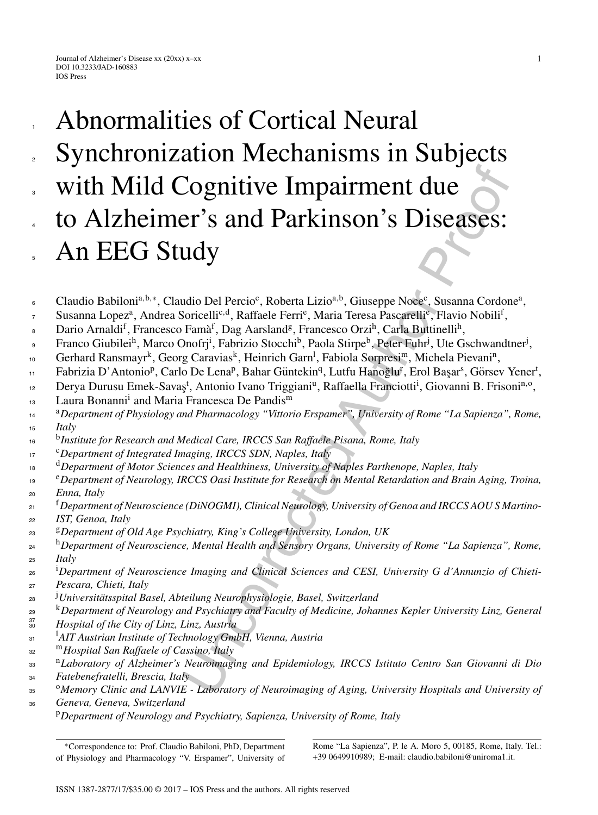# Cognitive Impairment due<br>
21 's and Parkinson's Diseases:<br>
Udy<br>
Adio Del Percio<sup>c</sup>, Roberta Lizio<sup>5,b</sup>, Giuseppe Noee<sup>e</sup>, Susanna Cordo<br>
Soricelli<sup>e-d</sup>, Raffaele Ferri<sup>e</sup>, Maria Teresa Pascarelli<sup>e</sup>, Flavio Nobili<sup>1</sup>,<br>
Fam Abnormalities of Cortical Neural Synchronization Mechanisms in Subjects with Mild Cognitive Impairment due to Alzheimer's and Parkinson's Diseases: An EEG Study 1 2 3 4 5

- Claudio Babiloni<sup>a,b,∗</sup>, Claudio Del Percio<sup>c</sup>, Roberta Lizio<sup>a,b</sup>, Giuseppe Noce<sup>c</sup>, Susanna Cordone<sup>a</sup>, 6
- Susanna Lopez<sup>a</sup>, Andrea Soricelli<sup>c,d</sup>, Raffaele Ferri<sup>e</sup>, Maria Teresa Pascarelli<sup>e</sup>, Flavio Nobili<sup>f</sup>, 7
- Dario Arnaldi<sup>f</sup>, Francesco Famà<sup>f</sup>, Dag Aarsland<sup>g</sup>, Francesco Orzi<sup>h</sup>, Carla Buttinelli<sup>h</sup>, 8
- Franco Giubilei<sup>h</sup>, Marco Onofrj<sup>i</sup>, Fabrizio Stocchi<sup>b</sup>, Paola Stirpe<sup>b</sup>, Peter Fuhr<sup>j</sup>, Ute Gschwandtner<sup>j</sup>, 9
- Gerhard Ransmayr<sup>k</sup>, Georg Caraviask, Heinrich Garn<sup>1</sup>, Fabiola Sorpresi<sup>m</sup>, Michela Pievani<sup>n</sup>, 10
- Fabrizia D'Antonio<sup>p</sup>, Carlo De Lena<sup>p</sup>, Bahar Güntekin<sup>q</sup>, Lutfu Hanoğlu<sup>r</sup>, Erol Başar<sup>s</sup>, Görsev Yener<sup>t</sup>, 11
- Derya Durusu Emek-Savaş<sup>t</sup>, Antonio Ivano Triggiani<sup>u</sup>, Raffaella Franciotti<sup>i</sup>, Giovanni B. Frisoni<sup>n,o</sup>, 12
- Laura Bonanni<sup>i</sup> and Maria Francesca De Pandis<sup>m</sup> 13
- <sup>a</sup>*Department of Physiology and Pharmacology "Vittorio Erspamer", University of Rome "La Sapienza", Rome, Italy* 14 15
- <sup>b</sup> <sup>16</sup> *Institute for Research and Medical Care, IRCCS San Raffaele Pisana, Rome, Italy*
- <sup>c</sup> <sup>17</sup> *Department of Integrated Imaging, IRCCS SDN, Naples, Italy*
- <sup>d</sup> <sup>18</sup> *Department of Motor Sciences and Healthiness, University of Naples Parthenope, Naples, Italy*
- <sup>e</sup>*Department of Neurology, IRCCS Oasi Institute for Research on Mental Retardation and Brain Aging, Troina, Enna, Italy* 19 20
- <sup>f</sup>*Department of Neuroscience (DiNOGMI), Clinical Neurology, University of Genoa and IRCCS AOU S Martino-* $21$
- *IST, Genoa, Italy* 22
- <sup>g</sup> <sup>23</sup> *Department of Old Age Psychiatry, King's College University, London, UK*
- <sup>h</sup>*Department of Neuroscience, Mental Health and Sensory Organs, University of Rome "La Sapienza", Rome, Italy* 24 25
- i *Department of Neuroscience Imaging and Clinical Sciences and CESI, University G d'Annunzio of Chieti-Pescara, Chieti, Italy* 26 27
- <sup>28</sup> <sup>*i*</sup>Universitätsspital Basel, Abteilung Neurophysiologie, Basel, Switzerland
- <sup>k</sup>*Department of Neurology and Psychiatry and Faculty of Medicine, Johannes Kepler University Linz, General* 29
- *Hospital of the City of Linz, Linz, Austria* 30 37
- <sup>l</sup> <sup>31</sup> *AIT Austrian Institute of Technology GmbH, Vienna, Austria*
- <sup>m</sup> <sup>32</sup> *Hospital San Raffaele of Cassino, Italy*
- <sup>n</sup>*Laboratory of Alzheimer's Neuroimaging and Epidemiology, IRCCS Istituto Centro San Giovanni di Dio Fatebenefratelli, Brescia, Italy* 33 34
- <sup>o</sup>*Memory Clinic and LANVIE Laboratory of Neuroimaging of Aging, University Hospitals and University of* 35
- *Geneva, Geneva, Switzerland* 36
	- <sup>p</sup>*Department of Neurology and Psychiatry, Sapienza, University of Rome, Italy*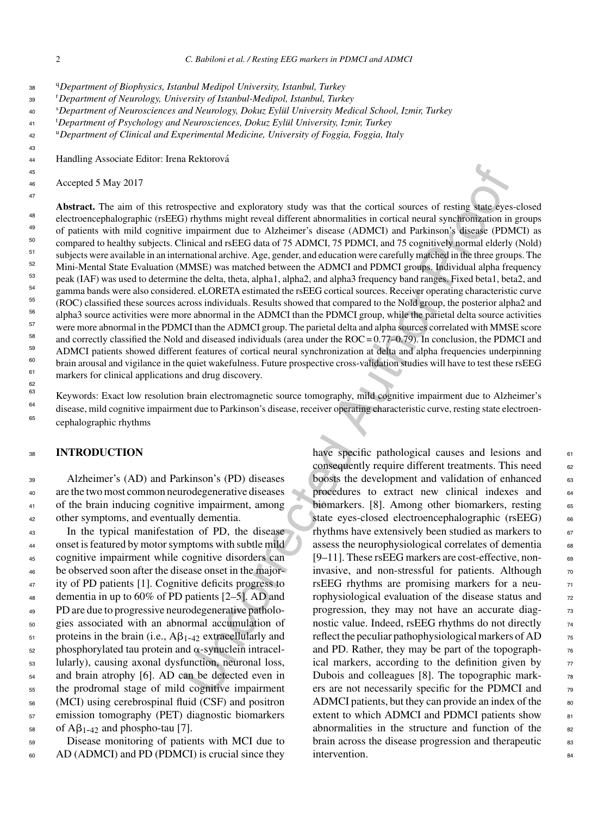43

45

47

62

- <sup>q</sup>*Department of Biophysics, Istanbul Medipol University, Istanbul, Turkey* 38
- r *Department of Neurology, University of Istanbul-Medipol, Istanbul, Turkey* 39
- s *Department of Neurosciences and Neurology, Dokuz Eyl ¨ul University Medical School, Izmir, Turkey* 40
- <sup>t</sup>Department of Psychology and Neurosciences, Dokuz Eylül University, Izmir, Turkey 41
- <sup>u</sup>*Department of Clinical and Experimental Medicine, University of Foggia, Foggia, Italy* 42

<sup>44</sup> Handling Associate Editor: Irena Rektorova´

<sup>46</sup> Accepted 5 May 2017

syperiove and exploratory study was that the cortical sources of resting state eyes) in hythma might reveal different abnormalities in cortical neural synchronization in<br>minical and still to dalaboraris of shower, and 75 Abstract. The aim of this retrospective and exploratory study was that the cortical sources of resting state eyes-closed electroencephalographic (rsEEG) rhythms might reveal different abnormalities in cortical neural synchronization in groups of patients with mild cognitive impairment due to Alzheimer's disease (ADMCI) and Parkinson's disease (PDMCI) as compared to healthy subjects. Clinical and rsEEG data of 75 ADMCI, 75 PDMCI, and 75 cognitively normal elderly (Nold) subjects were available in an international archive. Age, gender, and education were carefully matched in the three groups. The Mini-Mental State Evaluation (MMSE) was matched between the ADMCI and PDMCI groups. Individual alpha frequency peak (IAF) was used to determine the delta, theta, alpha1, alpha2, and alpha3 frequency band ranges. Fixed beta1, beta2, and gamma bands were also considered. eLORETA estimated the rsEEG cortical sources. Receiver operating characteristic curve (ROC) classified these sources across individuals. Results showed that compared to the Nold group, the posterior alpha2 and alpha3 source activities were more abnormal in the ADMCI than the PDMCI group, while the parietal delta source activities were more abnormal in the PDMCI than the ADMCI group. The parietal delta and alpha sources correlated with MMSE score and correctly classified the Nold and diseased individuals (area under the ROC = 0.77–0.79). In conclusion, the PDMCI and ADMCI patients showed different features of cortical neural synchronization at delta and alpha frequencies underpinning brain arousal and vigilance in the quiet wakefulness. Future prospective cross-validation studies will have to test these rsEEG markers for clinical applications and drug discovery. 48 49 50 51 52 53 54 55 56 57 58 59 60 61

Keywords: Exact low resolution brain electromagnetic source tomography, mild cognitive impairment due to Alzheimer's disease, mild cognitive impairment due to Parkinson's disease, receiver operating characteristic curve, resting state electroencephalographic rhythms 63 64 65

## <sup>38</sup> **INTRODUCTION**

 Alzheimer's (AD) and Parkinson's (PD) diseases are the two most common neurodegenerative diseases of the brain inducing cognitive impairment, among other symptoms, and eventually dementia.

 In the typical manifestation of PD, the disease onset is featured by motor symptoms with subtle mild cognitive impairment while cognitive disorders can be observed soon after the disease onset in the major- ity of PD patients [1]. Cognitive deficits progress to dementia in up to 60% of PD patients [2–5]. AD and PD are due to progressive neurodegenerative patholo- gies associated with an abnormal accumulation of  $_{51}$  proteins in the brain (i.e.,  $A\beta_{1-42}$  extracellularly and phosphorylated tau protein and  $\alpha$ -synuclein intracel- lularly), causing axonal dysfunction, neuronal loss, and brain atrophy [6]. AD can be detected even in the prodromal stage of mild cognitive impairment (MCI) using cerebrospinal fluid (CSF) and positron emission tomography (PET) diagnostic biomarkers of A $\beta_{1-42}$  and phospho-tau [7].

<sup>59</sup> Disease monitoring of patients with MCI due to 60 AD (ADMCI) and PD (PDMCI) is crucial since they

have specific pathological causes and lesions and 61 consequently require different treatments. This need 62 boosts the development and validation of enhanced  $\frac{63}{63}$ procedures to extract new clinical indexes and <sup>64</sup> biomarkers. [8]. Among other biomarkers, resting 65 state eyes-closed electroencephalographic (rsEEG) 66 rhythms have extensively been studied as markers to <sup>67</sup> assess the neurophysiological correlates of dementia <sup>68</sup> [9–11]. These rsEEG markers are cost-effective, noninvasive, and non-stressful for patients. Although  $70$ rsEEG rhythms are promising markers for a neurophysiological evaluation of the disease status and  $\frac{72}{2}$ progression, they may not have an accurate diagnostic value. Indeed, rsEEG rhythms do not directly  $\frac{74}{6}$ reflect the peculiar pathophysiological markers of AD  $\frac{75}{25}$ and PD. Rather, they may be part of the topograph- $\frac{76}{6}$ ical markers, according to the definition given by  $77$ Dubois and colleagues [8]. The topographic markers are not necessarily specific for the PDMCI and 79 ADMCI patients, but they can provide an index of the  $\frac{80}{100}$ extent to which ADMCI and PDMCI patients show 81 abnormalities in the structure and function of the  $82$ brain across the disease progression and therapeutic <sup>83</sup> intervention.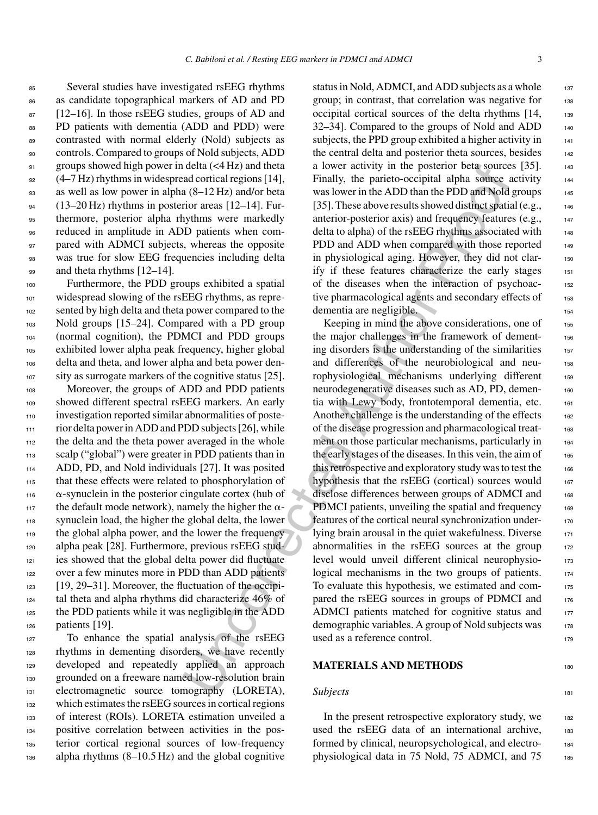Several studies have investigated rsEEG rhythms as candidate topographical markers of AD and PD 87 [12–16]. In those rsEEG studies, groups of AD and PD patients with dementia (ADD and PDD) were contrasted with normal elderly (Nold) subjects as controls. Compared to groups of Nold subjects, ADD 91 groups showed high power in delta (<4 Hz) and theta  $92 \quad (4-7 \text{ Hz})$  rhythms in widespread cortical regions [14], as well as low power in alpha (8–12 Hz) and/or beta (13–20 Hz) rhythms in posterior areas [12–14]. Fur- thermore, posterior alpha rhythms were markedly reduced in amplitude in ADD patients when com-97 pared with ADMCI subjects, whereas the opposite was true for slow EEG frequencies including delta 99 and theta rhythms [12–14].

 Furthermore, the PDD groups exhibited a spatial widespread slowing of the rsEEG rhythms, as repre- sented by high delta and theta power compared to the Nold groups [15–24]. Compared with a PD group (normal cognition), the PDMCI and PDD groups exhibited lower alpha peak frequency, higher global delta and theta, and lower alpha and beta power den-sity as surrogate markers of the cognitive status [25].

 Moreover, the groups of ADD and PDD patients showed different spectral rsEEG markers. An early investigation reported similar abnormalities of poste- rior delta power in ADD and PDD subjects [26], while 112 the delta and the theta power averaged in the whole scalp ("global") were greater in PDD patients than in ADD, PD, and Nold individuals [27]. It was posited that these effects were related to phosphorylation of  $\alpha$ -synuclein in the posterior cingulate cortex (hub of 117 the default mode network), namely the higher the  $\alpha$ - synuclein load, the higher the global delta, the lower the global alpha power, and the lower the frequency alpha peak [28]. Furthermore, previous rsEEG stud- ies showed that the global delta power did fluctuate over a few minutes more in PDD than ADD patients [19, 29–31]. Moreover, the fluctuation of the occipi- tal theta and alpha rhythms did characterize 46% of the PDD patients while it was negligible in the ADD patients [19].

 To enhance the spatial analysis of the rsEEG rhythms in dementing disorders, we have recently developed and repeatedly applied an approach grounded on a freeware named low-resolution brain electromagnetic source tomography (LORETA), which estimates the rsEEG sources in cortical regions of interest (ROIs). LORETA estimation unveiled a positive correlation between activities in the pos- terior cortical regional sources of low-frequency  $_{136}$  alpha rhythms (8–10.5 Hz) and the global cognitive

status in Nold, ADMCI, and ADD subjects as a whole 137 group; in contrast, that correlation was negative for 138 occipital cortical sources of the delta rhythms [14, 139]  $32-34$ ]. Compared to the groups of Nold and ADD  $_{140}$ subjects, the PPD group exhibited a higher activity in  $_{141}$ the central delta and posterior theta sources, besides 142 a lower activity in the posterior beta sources  $[35]$ . 143 Finally, the parieto-occipital alpha source activity 144 was lower in the ADD than the PDD and Nold groups  $145$ [35]. These above results showed distinct spatial (e.g.,  $146$ anterior-posterior axis) and frequency features (e.g., 147 delta to alpha) of the rsEEG rhythms associated with 148 PDD and ADD when compared with those reported 149 in physiological aging. However, they did not clarify if these features characterize the early stages 151 of the diseases when the interaction of psychoac- <sup>152</sup> tive pharmacological agents and secondary effects of 153 dementia are negligible.

delta (<4 Hz) and theta as lower activity in the position to the position of delta (and carterial regions [14], Finally, the particle occipital alpha some certifical and (a C-12 Hz) and/or beta was lower in the ADD band th Keeping in mind the above considerations, one of  $155$ the major challenges in the framework of dement- <sup>156</sup> ing disorders is the understanding of the similarities  $157$ and differences of the neurobiological and neu- <sup>158</sup> rophysiological mechanisms underlying different 159 neurodegenerative diseases such as AD, PD, dementia with Lewy body, frontotemporal dementia, etc. 161 Another challenge is the understanding of the effects 162 of the disease progression and pharmacological treat- <sup>163</sup> ment on those particular mechanisms, particularly in 164 the early stages of the diseases. In this vein, the aim of 165 this retrospective and exploratory study was to test the 166 hypothesis that the rsEEG (cortical) sources would 167 disclose differences between groups of ADMCI and 168 PDMCI patients, unveiling the spatial and frequency 169 features of the cortical neural synchronization under- <sup>170</sup> lying brain arousal in the quiet wakefulness. Diverse 171 abnormalities in the rsEEG sources at the group  $172$ level would unveil different clinical neurophysio-<br>173 logical mechanisms in the two groups of patients. 174 To evaluate this hypothesis, we estimated and com- <sup>175</sup> pared the rsEEG sources in groups of PDMCI and 176 ADMCI patients matched for cognitive status and 177 demographic variables. A group of Nold subjects was 178 used as a reference control.

## **MATERIALS AND METHODS**

#### *Subjects* 181

In the present retrospective exploratory study, we  $\qquad$  182 used the rsEEG data of an international archive, 183 formed by clinical, neuropsychological, and electro- <sup>184</sup> physiological data in 75 Nold, 75 ADMCI, and 75 185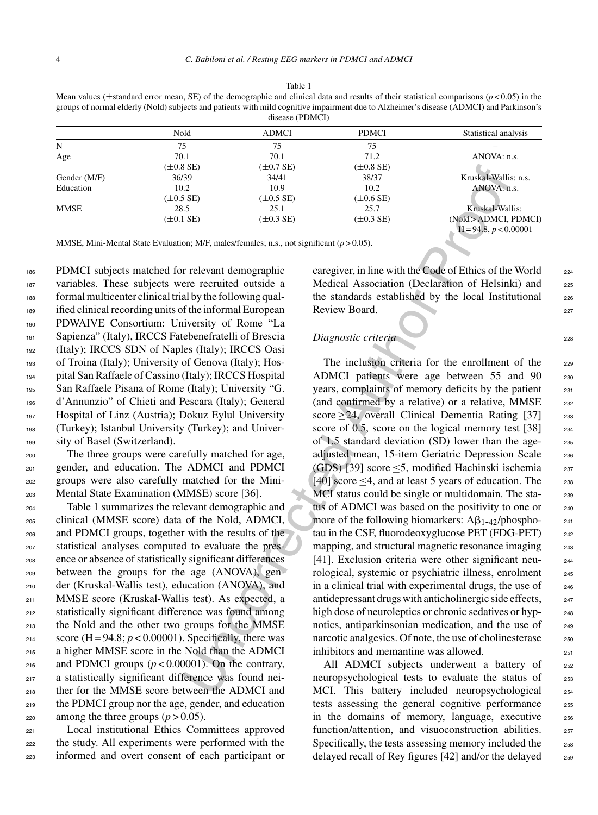| disease (PDMCI) |                |                |                |                         |
|-----------------|----------------|----------------|----------------|-------------------------|
|                 | Nold           | ADMCI          | <b>PDMCI</b>   | Statistical analysis    |
| N               | 75             | 75             | 75             |                         |
| Age             | 70.1           | 70.1           | 71.2           | ANOVA: n.s.             |
|                 | $(\pm 0.8$ SE) | $(\pm 0.7$ SE) | $(\pm 0.8$ SE) |                         |
| Gender (M/F)    | 36/39          | 34/41          | 38/37          | Kruskal-Wallis: n.s.    |
| Education       | 10.2           | 10.9           | 10.2           | ANOVA: n.s.             |
|                 | $(\pm 0.5$ SE) | $(\pm 0.5$ SE) | $(\pm 0.6$ SE) |                         |
| MMSE            | 28.5           | 25.1           | 25.7           | Kruskal-Wallis:         |
|                 | $(\pm 0.1$ SE) | $(\pm 0.3$ SE) | $(\pm 0.3$ SE) | (Nold > ADMCI, PDMCI)   |
|                 |                |                |                | $H = 94.8, p < 0.00001$ |

Table 1 Mean values ( $\pm$ standard error mean, SE) of the demographic and clinical data and results of their statistical comparisons ( $p$  < 0.05) in the groups of normal elderly (Nold) subjects and patients with mild cognitive impairment due to Alzheimer's disease (ADMCI) and Parkinson's

MMSE, Mini-Mental State Evaluation; M/F, males/females; n.s., not significant (*p* > 0.05).

 PDMCI subjects matched for relevant demographic variables. These subjects were recruited outside a formal multicenter clinical trial by the following qual- ified clinical recording units of the informal European PDWAIVE Consortium: University of Rome "La 191 Sapienza" (Italy), IRCCS Fatebenefratelli of Brescia (Italy); IRCCS SDN of Naples (Italy); IRCCS Oasi of Troina (Italy); University of Genova (Italy); Hos- pital San Raffaele of Cassino (Italy); IRCCS Hospital San Raffaele Pisana of Rome (Italy); University "G. d'Annunzio" of Chieti and Pescara (Italy); General Hospital of Linz (Austria); Dokuz Eylul University (Turkey); Istanbul University (Turkey); and Univer-sity of Basel (Switzerland).

 The three groups were carefully matched for age, gender, and education. The ADMCI and PDMCI groups were also carefully matched for the Mini-Mental State Examination (MMSE) score [36].

 Table 1 summarizes the relevant demographic and clinical (MMSE score) data of the Nold, ADMCI, and PDMCI groups, together with the results of the statistical analyses computed to evaluate the pres- ence or absence of statistically significant differences between the groups for the age (ANOVA), gen- der (Kruskal-Wallis test), education (ANOVA), and MMSE score (Kruskal-Wallis test). As expected, a statistically significant difference was found among the Nold and the other two groups for the MMSE <sup>214</sup> score (H =  $94.8$ ;  $p < 0.00001$ ). Specifically, there was a higher MMSE score in the Nold than the ADMCI 216 and PDMCI groups  $(p < 0.00001)$ . On the contrary, a statistically significant difference was found nei-218 ther for the MMSE score between the ADMCI and the PDMCI group nor the age, gender, and education 220 among the three groups  $(p > 0.05)$ .

<sup>221</sup> Local institutional Ethics Committees approved <sup>222</sup> the study. All experiments were performed with the <sup>223</sup> informed and overt consent of each participant or caregiver, in line with the Code of Ethics of the World 224 Medical Association (Declaration of Helsinki) and 225 the standards established by the local Institutional 226 Review Board. 227

*Diagnostic criteria* 228

(41.7 SEC (41.8 Mathematical of the SKE)<br>
(41.8 Mathematical Author<br>
(41.8 SF)<br>
(41.8 SF)<br>
(41.8 SF)<br>
(41.8 SF)<br>
(41.8 SF)<br>
(41.8 SF)<br>
(41.8 SF)<br>
(41.8 SF)<br>
(41.8 SF)<br>
(41.8 SF)<br>
(41.8 SF)<br>
(41.8 SF)<br>
(41.8 SF)<br>
(41.8 SF) The inclusion criteria for the enrollment of the 229 ADMCI patients were age between 55 and 90 230 years, complaints of memory deficits by the patient 231 (and confirmed by a relative) or a relative, MMSE 232 score  $\geq$  24, overall Clinical Dementia Rating [37] 233 score of 0.5, score on the logical memory test  $[38]$  234 of 1.5 standard deviation (SD) lower than the age- <sup>235</sup> adjusted mean, 15-item Geriatric Depression Scale 236 (GDS) [39] score  $\leq$ 5, modified Hachinski ischemia 237 [40] score  $\leq$ 4, and at least 5 years of education. The 238 MCI status could be single or multidomain. The status of ADMCI was based on the positivity to one or 240 more of the following biomarkers:  $A\beta_{1-42}/phospho-$  241 tau in the CSF, fluorodeoxyglucose PET (FDG-PET) <sup>242</sup> mapping, and structural magnetic resonance imaging 243 [41]. Exclusion criteria were other significant neu-<br><sub>244</sub> rological, systemic or psychiatric illness, enrolment <sup>245</sup> in a clinical trial with experimental drugs, the use of  $246$ antidepressant drugs with anticholinergic side effects, <sub>247</sub> high dose of neuroleptics or chronic sedatives or hyp-<br><sub>248</sub> notics, antiparkinsonian medication, and the use of 249 narcotic analgesics. Of note, the use of cholinesterase <sub>250</sub> inhibitors and memantine was allowed.

All ADMCI subjects underwent a battery of 252 neuropsychological tests to evaluate the status of 253 MCI. This battery included neuropsychological 254 tests assessing the general cognitive performance 255 in the domains of memory, language, executive  $256$ function/attention, and visuoconstruction abilities. 257 Specifically, the tests assessing memory included the 258 delayed recall of Rey figures [42] and/or the delayed 259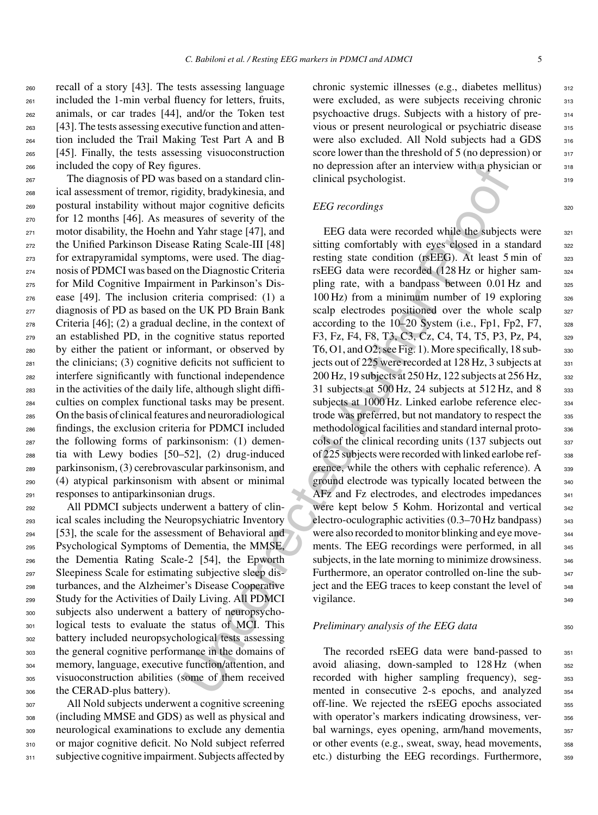recall of a story [43]. The tests assessing language included the 1-min verbal fluency for letters, fruits, animals, or car trades [44], and/or the Token test [43]. The tests assessing executive function and atten- tion included the Trail Making Test Part A and B [45]. Finally, the tests assessing visuoconstruction included the copy of Rey figures.

 The diagnosis of PD was based on a standard clin- ical assessment of tremor, rigidity, bradykinesia, and postural instability without major cognitive deficits for 12 months [46]. As measures of severity of the 271 motor disability, the Hoehn and Yahr stage [47], and the Unified Parkinson Disease Rating Scale-III [48] for extrapyramidal symptoms, were used. The diag- nosis of PDMCI was based on the Diagnostic Criteria for Mild Cognitive Impairment in Parkinson's Dis- ease [49]. The inclusion criteria comprised: (1) a diagnosis of PD as based on the UK PD Brain Bank Criteria [46]; (2) a gradual decline, in the context of an established PD, in the cognitive status reported by either the patient or informant, or observed by the clinicians; (3) cognitive deficits not sufficient to interfere significantly with functional independence in the activities of the daily life, although slight diffi- culties on complex functional tasks may be present. On the basis of clinical features and neuroradiological findings, the exclusion criteria for PDMCI included the following forms of parkinsonism: (1) demen- tia with Lewy bodies [50–52], (2) drug-induced parkinsonism, (3) cerebrovascular parkinsonism, and (4) atypical parkinsonism with absent or minimal responses to antiparkinsonian drugs.

 All PDMCI subjects underwent a battery of clin- ical scales including the Neuropsychiatric Inventory [53], the scale for the assessment of Behavioral and Psychological Symptoms of Dementia, the MMSE, the Dementia Rating Scale-2 [54], the Epworth Sleepiness Scale for estimating subjective sleep dis- turbances, and the Alzheimer's Disease Cooperative Study for the Activities of Daily Living. All PDMCI subjects also underwent a battery of neuropsycho-301 logical tests to evaluate the status of MCI. This battery included neuropsychological tests assessing the general cognitive performance in the domains of memory, language, executive function/attention, and visuoconstruction abilities (some of them received the CERAD-plus battery).

 All Nold subjects underwent a cognitive screening (including MMSE and GDS) as well as physical and neurological examinations to exclude any dementia or major cognitive deficit. No Nold subject referred 311 subjective cognitive impairment. Subjects affected by chronic systemic illnesses (e.g., diabetes mellitus) 312 were excluded, as were subjects receiving chronic 313 psychoactive drugs. Subjects with a history of pre- <sup>314</sup> vious or present neurological or psychiatric disease 315 were also excluded. All Nold subjects had a GDS 316 score lower than the threshold of  $5$  (no depression) or  $317$ no depression after an interview with a physician or  $318$ clinical psychologist. 319

*EEG recordings* 320

area<br>
asset on a standard clinical psotession atterview with a physicality, bradylinesia, and<br>
and clinical psychologist.<br>
Higher and Calin and Calin and Calin and Calin and Calin and Calin and Calin and Calin and Calin a EEG data were recorded while the subjects were 321 sitting comfortably with eyes closed in a standard 322 resting state condition (rsEEG). At least  $5 \text{ min of}$  323 rsEEG data were recorded (128 Hz or higher sam- <sup>324</sup> pling rate, with a bandpass between 0.01 Hz and 325 100 Hz) from a minimum number of 19 exploring  $326$ scalp electrodes positioned over the whole scalp 327 according to the  $10-20$  System (i.e., Fp1, Fp2, F7,  $328$ F3, Fz, F4, F8, T3, C3, Cz, C4, T4, T5, P3, Pz, P4, 329 T6,  $O1$ , and  $O2$ ; see Fig. 1). More specifically, 18 sub- $330$ jects out of 225 were recorded at 128 Hz, 3 subjects at 331 200 Hz, 19 subjects at 250 Hz, 122 subjects at 256 Hz, <sup>332</sup> 31 subjects at  $500$  Hz, 24 subjects at  $512$  Hz, and 8  $333$ subjects at 1000 Hz. Linked earlobe reference elec-<br>334 trode was preferred, but not mandatory to respect the 335 methodological facilities and standard internal proto-<br>336 cols of the clinical recording units (137 subjects out 337 of 225 subjects were recorded with linked earlobe ref-<br>338 erence, while the others with cephalic reference).  $A$  339 ground electrode was typically located between the 340 AFz and Fz electrodes, and electrodes impedances  $341$ were kept below 5 Kohm. Horizontal and vertical 342 electro-oculographic activities (0.3–70 Hz bandpass) 343 were also recorded to monitor blinking and eye move-<br>344 ments. The EEG recordings were performed, in all 345 subjects, in the late morning to minimize drowsiness. 346 Furthermore, an operator controlled on-line the sub-<br><sub>347</sub> ject and the EEG traces to keep constant the level of 348 vigilance. 349

#### *Preliminary analysis of the EEG data* 350

The recorded rsEEG data were band-passed to 351 avoid aliasing, down-sampled to 128 Hz (when 352 recorded with higher sampling frequency), seg-<br>s<sub>53</sub> mented in consecutive 2-s epochs, and analyzed 354 off-line. We rejected the rsEEG epochs associated 355 with operator's markers indicating drowsiness, ver-<br>s<sub>56</sub> bal warnings, eyes opening, arm/hand movements, 357 or other events (e.g., sweat, sway, head movements,  $358$ etc.) disturbing the EEG recordings. Furthermore,  $359$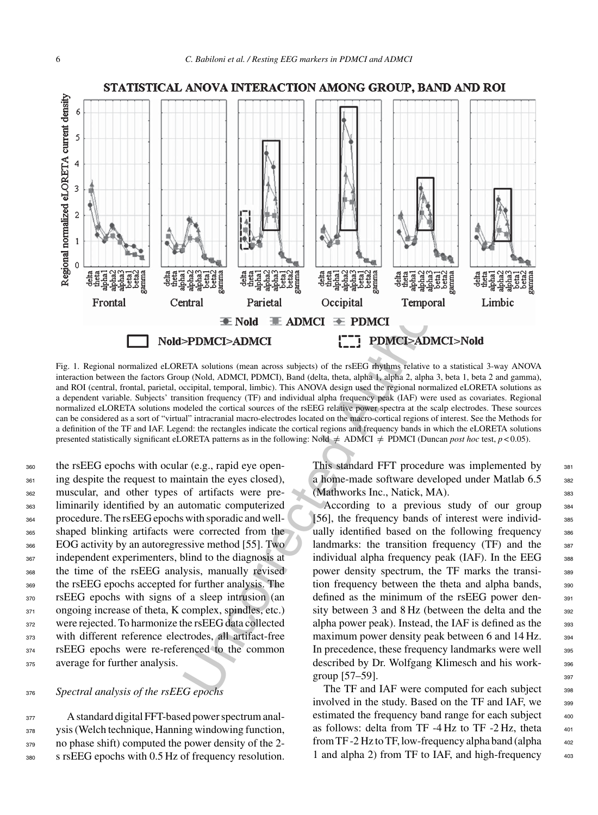

Fig. 1. Regional normalized eLORETA solutions (mean across subjects) of the rsEEG rhythms relative to a statistical 3-way ANOVA interaction between the factors Group (Nold, ADMCI, PDMCI), Band (delta, theta, alpha 1, alpha 2, alpha 3, beta 1, beta 2 and gamma), and ROI (central, frontal, parietal, occipital, temporal, limbic). This ANOVA design used the regional normalized eLORETA solutions as a dependent variable. Subjects' transition frequency (TF) and individual alpha frequency peak (IAF) were used as covariates. Regional normalized eLORETA solutions modeled the cortical sources of the rsEEG relative power spectra at the scalp electrodes. These sources can be considered as a sort of "virtual" intracranial macro-electrodes located on the macro-cortical regions of interest. See the Methods for a definition of the TF and IAF. Legend: the rectangles indicate the cortical regions and frequency bands in which the eLORETA solutions presented statistically significant eLORETA patterns as in the following: Nold  $\neq$  ADMCI  $\neq$  PDMCI (Duncan *post hoc* test, *p* < 0.05).

 the rsEEG epochs with ocular (e.g., rapid eye open- ing despite the request to maintain the eyes closed), muscular, and other types of artifacts were pre- liminarily identified by an automatic computerized procedure. The rsEEG epochs with sporadic and well- shaped blinking artifacts were corrected from the EOG activity by an autoregressive method [55]. Two independent experimenters, blind to the diagnosis at the time of the rsEEG analysis, manually revised the rsEEG epochs accepted for further analysis. The rsEEG epochs with signs of a sleep intrusion (an 371 ongoing increase of theta, K complex, spindles, etc.) were rejected. To harmonize the rsEEG data collected with different reference electrodes, all artifact-free rsEEG epochs were re-referenced to the common average for further analysis.

# <sup>376</sup> *Spectral analysis of the rsEEG epochs*

 A standard digital FFT-based power spectrum anal- ysis (Welch technique, Hanning windowing function, no phase shift) computed the power density of the 2- s rsEEG epochs with 0.5 Hz of frequency resolution.

This standard FFT procedure was implemented by 381 a home-made software developed under Matlab 6.5 382 (Mathworks Inc., Natick, MA). 383

According to a previous study of our group 384 [56], the frequency bands of interest were individ-<br>set ually identified based on the following frequency 386 landmarks: the transition frequency (TF) and the 387 individual alpha frequency peak  $(IAF)$ . In the EEG  $388$ power density spectrum, the TF marks the transi-<br>389 tion frequency between the theta and alpha bands, <sub>390</sub> defined as the minimum of the rsEEG power den-<br>391 sity between 3 and 8 Hz (between the delta and the 392 alpha power peak). Instead, the IAF is defined as the  $393$ maximum power density peak between 6 and 14 Hz. 394 In precedence, these frequency landmarks were well 395 described by Dr. Wolfgang Klimesch and his work-<br>396  $\frac{1}{397}$  group [57–59].

The TF and IAF were computed for each subject 398 involved in the study. Based on the TF and IAF, we 399 estimated the frequency band range for each subject 400 as follows: delta from TF  $-4$  Hz to TF  $-2$  Hz, theta  $401$ from TF -2 Hz to TF, low-frequency alpha band (alpha <sup>402</sup> 1 and alpha 2) from TF to IAF, and high-frequency 403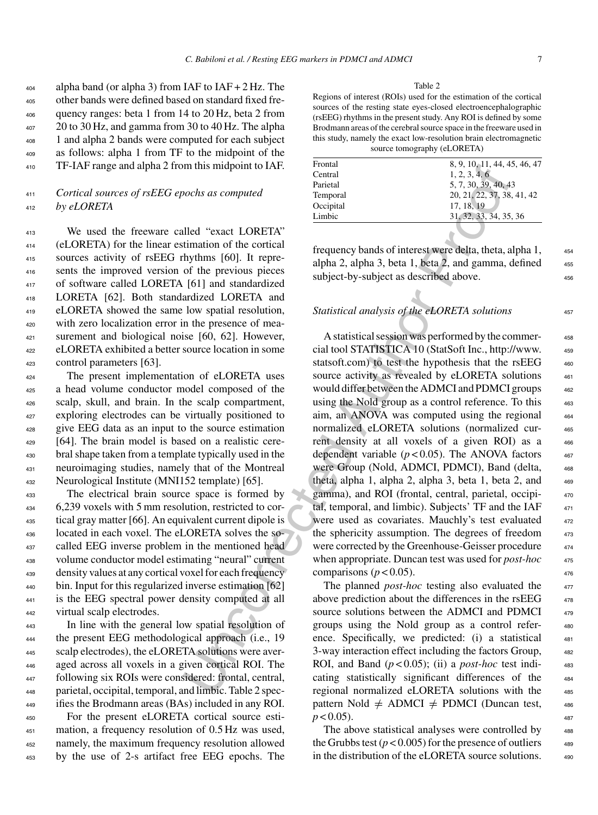$_{404}$  alpha band (or alpha 3) from IAF to IAF + 2 Hz. The other bands were defined based on standard fixed fre- quency ranges: beta 1 from 14 to 20 Hz, beta 2 from 20 to 30 Hz, and gamma from 30 to 40 Hz. The alpha 1 and alpha 2 bands were computed for each subject as follows: alpha 1 from TF to the midpoint of the TF-IAF range and alpha 2 from this midpoint to IAF.

# <sup>411</sup> *Cortical sources of rsEEG epochs as computed* <sup>412</sup> *by eLORETA*

 We used the freeware called "exact LORETA" (eLORETA) for the linear estimation of the cortical sources activity of rsEEG rhythms [60]. It repre- sents the improved version of the previous pieces of software called LORETA [61] and standardized LORETA [62]. Both standardized LORETA and eLORETA showed the same low spatial resolution, with zero localization error in the presence of mea- surement and biological noise [60, 62]. However, eLORETA exhibited a better source location in some control parameters [63].

 The present implementation of eLORETA uses a head volume conductor model composed of the scalp, skull, and brain. In the scalp compartment, exploring electrodes can be virtually positioned to give EEG data as an input to the source estimation [64]. The brain model is based on a realistic cere- bral shape taken from a template typically used in the neuroimaging studies, namely that of the Montreal Neurological Institute (MNI152 template) [65].

 The electrical brain source space is formed by 6,239 voxels with 5 mm resolution, restricted to cor- tical gray matter [66]. An equivalent current dipole is located in each voxel. The eLORETA solves the so- called EEG inverse problem in the mentioned head volume conductor model estimating "neural" current density values at any cortical voxel for each frequency bin. Input for this regularized inverse estimation [62] is the EEG spectral power density computed at all virtual scalp electrodes.

 In line with the general low spatial resolution of the present EEG methodological approach (i.e., 19 scalp electrodes), the eLORETA solutions were aver- aged across all voxels in a given cortical ROI. The following six ROIs were considered: frontal, central, parietal, occipital, temporal, and limbic. Table 2 spec-ifies the Brodmann areas (BAs) included in any ROI.

 For the present eLORETA cortical source esti- mation, a frequency resolution of 0.5 Hz was used, namely, the maximum frequency resolution allowed by the use of 2-s artifact free EEG epochs. The

| ٧<br>٠ |  |
|--------|--|
|--------|--|

Regions of interest (ROIs) used for the estimation of the cortical sources of the resting state eyes-closed electroencephalographic (rsEEG) rhythms in the present study. Any ROI is defined by some Brodmann areas of the cerebral source space in the freeware used in this study, namely the exact low-resolution brain electromagnetic source tomography (eLORETA)

| Frontal   | 8, 9, 10, 11, 44, 45, 46, 47 |
|-----------|------------------------------|
| Central   | 1, 2, 3, 4, 6                |
| Parietal  | 5, 7, 30, 39, 40, 43         |
| Temporal  | 20, 21, 22, 37, 38, 41, 42   |
| Occipital | 17, 18, 19                   |
| Limbic    | 31, 32, 33, 34, 35, 36       |
|           |                              |

frequency bands of interest were delta, theta, alpha 1, <sup>454</sup> alpha 2, alpha 3, beta 1, beta 2, and gamma, defined  $455$ subject-by-subject as described above. 456

#### *Statistical analysis of the eLORETA solutions*  $457$

In this midpoint to IAF.<br>
From an also state and the crime of the crime of the crime of the crime of the crime<br>
Mospher (1993) and the crime of the crime of the crime of the crime of the crime of the crime of the crime of A statistical session was performed by the commer-<br>458 cial tool STATISTICA 10 (StatSoft Inc., [http://www.](http://www.statsoft.com) <sup>459</sup> statsoft.com) to test the hypothesis that the rsEEG  $460$ source activity as revealed by eLORETA solutions 461 would differ between the ADMCI and PDMCI groups 462 using the Nold group as a control reference. To this  $463$ aim, an ANOVA was computed using the regional 464 normalized eLORETA solutions (normalized cur-<br>465 rent density at all voxels of a given ROI) as a 466 dependent variable  $(p < 0.05)$ . The ANOVA factors  $467$ were Group (Nold, ADMCI, PDMCI), Band (delta,  $468$ theta, alpha 1, alpha 2, alpha 3, beta 1, beta 2, and  $469$ gamma), and ROI (frontal, central, parietal, occipi-470 tal, temporal, and limbic). Subjects'  $TF$  and the IAF  $471$ were used as covariates. Mauchly's test evaluated 472 the sphericity assumption. The degrees of freedom  $473$ were corrected by the Greenhouse-Geisser procedure 474 when appropriate. Duncan test was used for *post-hoc* 475 comparisons  $(p < 0.05)$ .

The planned *post-hoc* testing also evaluated the  $477$ above prediction about the differences in the rsEEG  $478$ source solutions between the ADMCI and PDMCI 479 groups using the Nold group as a control refer-<br>480 ence. Specifically, we predicted: (i) a statistical 481 3-way interaction effect including the factors Group, <sup>482</sup> ROI, and Band  $(p < 0.05)$ ; (ii) a *post-hoc* test indicating statistically significant differences of the <sup>484</sup> regional normalized eLORETA solutions with the <sup>485</sup> pattern Nold  $\neq$  ADMCI  $\neq$  PDMCI (Duncan test, 486  $p < 0.05$ ).

The above statistical analyses were controlled by 488 the Grubbs test  $(p < 0.005)$  for the presence of outliers  $489$ in the distribution of the eLORETA source solutions.  $490$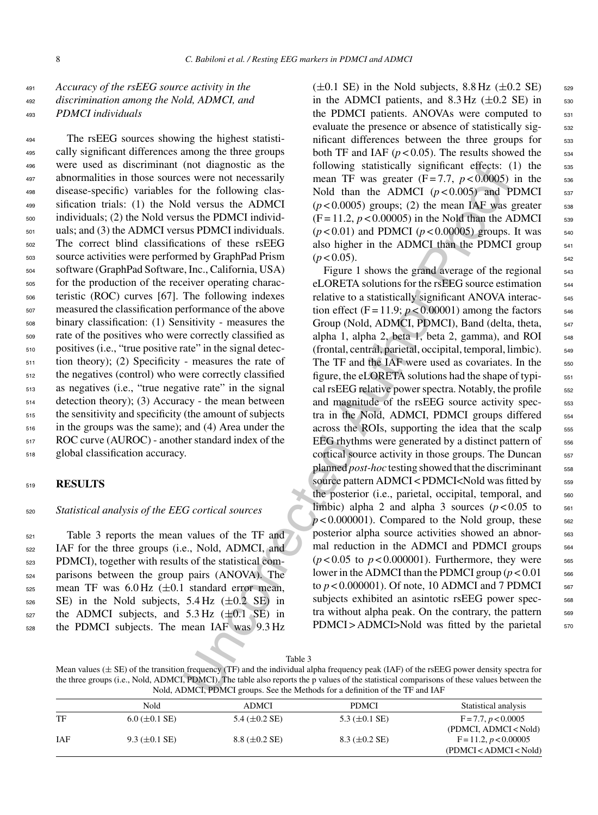# <sup>491</sup> *Accuracy of the rsEEG source activity in the* <sup>492</sup> *discrimination among the Nold, ADMCI, and* <sup>493</sup> *PDMCI individuals*

 The rsEEG sources showing the highest statisti- cally significant differences among the three groups were used as discriminant (not diagnostic as the abnormalities in those sources were not necessarily disease-specific) variables for the following clas- sification trials: (1) the Nold versus the ADMCI individuals; (2) the Nold versus the PDMCI individ- uals; and (3) the ADMCI versus PDMCI individuals. The correct blind classifications of these rsEEG source activities were performed by GraphPad Prism software (GraphPad Software, Inc., California, USA) for the production of the receiver operating charac- teristic (ROC) curves [67]. The following indexes measured the classification performance of the above binary classification: (1) Sensitivity - measures the rate of the positives who were correctly classified as positives (i.e., "true positive rate" in the signal detec- tion theory); (2) Specificity - measures the rate of the negatives (control) who were correctly classified as negatives (i.e., "true negative rate" in the signal detection theory); (3) Accuracy - the mean between the sensitivity and specificity (the amount of subjects in the groups was the same); and (4) Area under the ROC curve (AUROC) - another standard index of the global classification accuracy.

# <sup>519</sup> **RESULTS**

#### <sup>520</sup> *Statistical analysis of the EEG cortical sources*

 Table 3 reports the mean values of the TF and IAF for the three groups (i.e., Nold, ADMCI, and PDMCI), together with results of the statistical com- parisons between the group pairs (ANOVA). The mean TF was  $6.0$  Hz ( $\pm 0.1$  standard error mean, SE) in the Nold subjects,  $5.4 \text{ Hz}$  ( $\pm 0.2 \text{ SE}$ ) in the ADMCI subjects, and  $5.3 \text{ Hz}$  ( $\pm 0.1 \text{ SE}$ ) in the PDMCI subjects. The mean IAF was 9.3 Hz

 $(\pm 0.1$  SE) in the Nold subjects, 8.8 Hz  $(\pm 0.2$  SE) 529 in the ADMCI patients, and  $8.3 \text{ Hz } (\pm 0.2 \text{ SE})$  in  $\qquad$  530 the PDMCI patients. ANOVAs were computed to  $_{531}$ evaluate the presence or absence of statistically sig-<br><sub>532</sub> nificant differences between the three groups for 533 both TF and IAF  $(p<0.05)$ . The results showed the  $534$ following statistically significant effects:  $(1)$  the  $535$ mean TF was greater  $(F = 7.7, p < 0.0005)$  in the 536 Nold than the ADMCI  $(p<0.005)$  and PDMCI  $537$  $(p<0.0005)$  groups; (2) the mean IAF was greater  $538$  $(F = 11.2, p < 0.00005)$  in the Nold than the ADMCI 539  $(p<0.01)$  and PDMCI  $(p<0.00005)$  groups. It was 540 also higher in the ADMCI than the PDMCI group  $_{541}$  $(p<0.05)$ .

to the following statistically signine<br>and the relation of mean-<br>sets were not necessarily smearn TF was greater (F=7.7, p<0.0005) or the following dash in the ADMCI (p<0.0005) and the and MC<br>(p<0.0005) and PDMCI (p<0.000 Figure 1 shows the grand average of the regional  $_{543}$ eLORETA solutions for the rsEEG source estimation  $_{544}$ relative to a statistically significant ANOVA interac-<br><sub>545</sub> tion effect  $(F = 11.9; p < 0.00001)$  among the factors  $546$ Group (Nold, ADMCI, PDMCI), Band (delta, theta, 547 alpha 1, alpha 2, beta 1, beta 2, gamma), and ROI  $\frac{548}{2}$ (frontal, central, parietal, occipital, temporal, limbic). <sup>549</sup> The TF and the IAF were used as covariates. In the 550 figure, the eLORETA solutions had the shape of typi- <sup>551</sup> cal rsEEG relative power spectra. Notably, the profile  $\frac{552}{252}$ and magnitude of the rsEEG source activity spec-<br>  $553$ tra in the Nold, ADMCI, PDMCI groups differed  $_{554}$ across the ROIs, supporting the idea that the scalp 555 EEG rhythms were generated by a distinct pattern of 556 cortical source activity in those groups. The Duncan 557 planned *post-hoc* testing showed that the discriminant  $_{558}$ source pattern ADMCI < PDMCI < Nold was fitted by 559 the posterior (i.e., parietal, occipital, temporal, and 560 limbic) alpha 2 and alpha 3 sources  $(p<0.05$  to  $=$  561  $p$ <0.000001). Compared to the Nold group, these  $562$ posterior alpha source activities showed an abnor-<br>
<sub>563</sub> mal reduction in the ADMCI and PDMCI groups  $564$  $(p<0.05$  to  $p<0.000001$ ). Furthermore, they were  $565$ lower in the ADMCI than the PDMCI group  $(p < 0.01$ <sup>566</sup> to  $p < 0.000001$ ). Of note, 10 ADMCI and 7 PDMCI  $\qquad$  567 subjects exhibited an asintotic rsEEG power spec-<br>
<sub>568</sub> tra without alpha peak. On the contrary, the pattern  $569$  $PDMCI > ADMCI > Nold$  was fitted by the parietal  $570$ 

Table 3

Mean values (± SE) of the transition frequency (TF) and the individual alpha frequency peak (IAF) of the rsEEG power density spectra for the three groups (i.e., Nold, ADMCI, PDMCI). The table also reports the p values of the statistical comparisons of these values between the Nold, ADMCI, PDMCI groups. See the Methods for a definition of the TF and IAF

| There, the most a phase groups, see the memods for a deministry of the 11 and n if |                               |                            |                               |                                                   |
|------------------------------------------------------------------------------------|-------------------------------|----------------------------|-------------------------------|---------------------------------------------------|
|                                                                                    | Nold                          | <b>ADMCI</b>               | <b>PDMCI</b>                  | Statistical analysis                              |
| TF                                                                                 | $6.0 (\pm 0.1 \text{ SE})$    | 5.4 $(\pm 0.2$ SE)         | 5.3 $(\pm 0.1$ SE)            | $F = 7.7, p < 0.0005$<br>(PDMCI, ADMCI < Nold)    |
| IAF                                                                                | $9.3 \ (\pm 0.1 \ \text{SE})$ | $8.8 (\pm 0.2 \text{ SE})$ | $8.3 \ (\pm 0.2 \ \text{SE})$ | $F = 11.2, p < 0.00005$<br>(PDMCI < ADMCI < Nold) |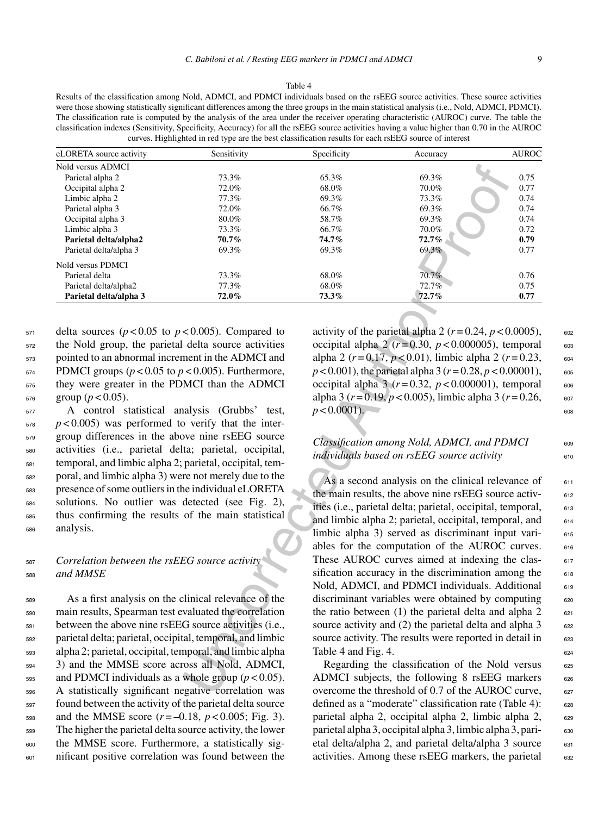Table 4 Results of the classification among Nold, ADMCI, and PDMCI individuals based on the rsEEG source activities. These source activities were those showing statistically significant differences among the three groups in the main statistical analysis (i.e., Nold, ADMCI, PDMCI). The classification rate is computed by the analysis of the area under the receiver operating characteristic (AUROC) curve. The table the classification indexes (Sensitivity, Specificity, Accuracy) for all the rsEEG source activities having a value higher than 0.70 in the AUROC curves. Highlighted in red type are the best classification results for each rsEEG source of interest

| eLORETA source activity                                                                                                                                                                                                                                                            | Sensitivity | Specificity         | Accuracy                                                                                                                                                                                                                                                                                                                                   | <b>AUROC</b> |
|------------------------------------------------------------------------------------------------------------------------------------------------------------------------------------------------------------------------------------------------------------------------------------|-------------|---------------------|--------------------------------------------------------------------------------------------------------------------------------------------------------------------------------------------------------------------------------------------------------------------------------------------------------------------------------------------|--------------|
| Nold versus ADMCI                                                                                                                                                                                                                                                                  |             |                     |                                                                                                                                                                                                                                                                                                                                            |              |
| Parietal alpha 2                                                                                                                                                                                                                                                                   | 73.3%       | 65.3%               | 69.3%                                                                                                                                                                                                                                                                                                                                      | 0.75         |
| Occipital alpha 2                                                                                                                                                                                                                                                                  | 72.0%       | 68.0%               | 70.0%                                                                                                                                                                                                                                                                                                                                      | 0.77         |
| Limbic alpha 2                                                                                                                                                                                                                                                                     | 77.3%       | 69.3%               | 73.3%                                                                                                                                                                                                                                                                                                                                      | 0.74         |
| Parietal alpha 3                                                                                                                                                                                                                                                                   | 72.0%       | 66.7%               | 69.3%                                                                                                                                                                                                                                                                                                                                      | 0.74         |
| Occipital alpha 3                                                                                                                                                                                                                                                                  | 80.0%       | 58.7%               | 69.3%                                                                                                                                                                                                                                                                                                                                      | 0.74         |
| Limbic alpha 3                                                                                                                                                                                                                                                                     | 73.3%       | 66.7%               | 70.0%                                                                                                                                                                                                                                                                                                                                      | 0.72         |
| Parietal delta/alpha2                                                                                                                                                                                                                                                              | $70.7\%$    | 74.7%               | 72.7%                                                                                                                                                                                                                                                                                                                                      | 0.79         |
| Parietal delta/alpha 3                                                                                                                                                                                                                                                             | 69.3%       | 69.3%               | 69.3%                                                                                                                                                                                                                                                                                                                                      | 0.77         |
| Nold versus PDMCI                                                                                                                                                                                                                                                                  |             |                     |                                                                                                                                                                                                                                                                                                                                            |              |
| Parietal delta                                                                                                                                                                                                                                                                     | 73.3%       | 68.0%               | 70.7%                                                                                                                                                                                                                                                                                                                                      | 0.76         |
| Parietal delta/alpha2                                                                                                                                                                                                                                                              | 77.3%       | 68.0%               | 72.7%                                                                                                                                                                                                                                                                                                                                      | 0.75         |
| Parietal delta/alpha 3                                                                                                                                                                                                                                                             | 72.0%       | 73.3%               | 72.7%                                                                                                                                                                                                                                                                                                                                      | 0.77         |
| delta sources ( $p < 0.05$ to $p < 0.005$ ). Compared to<br>the Nold group, the parietal delta source activities<br>pointed to an abnormal increment in the ADMCI and<br>PDMCI groups ( $p < 0.05$ to $p < 0.005$ ). Furthermore,<br>they were greater in the PDMCI than the ADMCI |             |                     | activity of the parietal alpha 2 ( $r = 0.24$ , $p < 0.0005$ ),<br>occipital alpha 2 ( $r = 0.30$ , $p < 0.000005$ ), temporal<br>alpha 2 ( $r = 0.17$ , $p < 0.01$ ), limbic alpha 2 ( $r = 0.23$ ,<br>$p < 0.001$ ), the parietal alpha 3 ( $r = 0.28$ , $p < 0.00001$ ),<br>occipital alpha 3 ( $r = 0.32$ , $p < 0.000001$ ), temporal |              |
| group ( $p < 0.05$ ).                                                                                                                                                                                                                                                              |             |                     | alpha 3 ( $r = 0.19$ , $p < 0.005$ ), limbic alpha 3 ( $r = 0.26$ ,                                                                                                                                                                                                                                                                        |              |
| A control statistical analysis (Grubbs' test,                                                                                                                                                                                                                                      |             | $p < 0.0001$ ).     |                                                                                                                                                                                                                                                                                                                                            |              |
| $p$ < 0.005) was performed to verify that the inter-                                                                                                                                                                                                                               |             |                     |                                                                                                                                                                                                                                                                                                                                            |              |
| group differences in the above nine rsEEG source                                                                                                                                                                                                                                   |             |                     |                                                                                                                                                                                                                                                                                                                                            |              |
| activities (i.e., parietal delta; parietal, occipital,                                                                                                                                                                                                                             |             |                     | Classification among Nold, ADMCI, and PDMCI                                                                                                                                                                                                                                                                                                |              |
|                                                                                                                                                                                                                                                                                    |             |                     | individuals based on rsEEG source activity                                                                                                                                                                                                                                                                                                 |              |
| temporal, and limbic alpha 2; parietal, occipital, tem-                                                                                                                                                                                                                            |             |                     |                                                                                                                                                                                                                                                                                                                                            |              |
| poral, and limbic alpha 3) were not merely due to the                                                                                                                                                                                                                              |             |                     | As a second analysis on the clinical relevance of                                                                                                                                                                                                                                                                                          |              |
| presence of some outliers in the individual eLORETA                                                                                                                                                                                                                                |             |                     | the main results, the above nine rsEEG source activ-                                                                                                                                                                                                                                                                                       |              |
| solutions. No outlier was detected (see Fig. 2),                                                                                                                                                                                                                                   |             |                     | ities (i.e., parietal delta; parietal, occipital, temporal,                                                                                                                                                                                                                                                                                |              |
| thus confirming the results of the main statistical                                                                                                                                                                                                                                |             |                     |                                                                                                                                                                                                                                                                                                                                            |              |
| analysis.                                                                                                                                                                                                                                                                          |             |                     | and limbic alpha 2; parietal, occipital, temporal, and                                                                                                                                                                                                                                                                                     |              |
|                                                                                                                                                                                                                                                                                    |             |                     | limbic alpha 3) served as discriminant input vari-                                                                                                                                                                                                                                                                                         |              |
|                                                                                                                                                                                                                                                                                    |             |                     | ables for the computation of the AUROC curves.                                                                                                                                                                                                                                                                                             |              |
| Correlation between the rsEEG source activity                                                                                                                                                                                                                                      |             |                     | These AUROC curves aimed at indexing the clas-                                                                                                                                                                                                                                                                                             |              |
| and MMSE                                                                                                                                                                                                                                                                           |             |                     | sification accuracy in the discrimination among the                                                                                                                                                                                                                                                                                        |              |
|                                                                                                                                                                                                                                                                                    |             |                     | Nold, ADMCI, and PDMCI individuals. Additional                                                                                                                                                                                                                                                                                             |              |
|                                                                                                                                                                                                                                                                                    |             |                     |                                                                                                                                                                                                                                                                                                                                            |              |
| As a first analysis on the clinical relevance of the                                                                                                                                                                                                                               |             |                     | discriminant variables were obtained by computing                                                                                                                                                                                                                                                                                          |              |
| main results, Spearman test evaluated the correlation                                                                                                                                                                                                                              |             |                     | the ratio between (1) the parietal delta and alpha 2                                                                                                                                                                                                                                                                                       |              |
| between the above nine rsEEG source activities (i.e.,                                                                                                                                                                                                                              |             |                     | source activity and (2) the parietal delta and alpha 3                                                                                                                                                                                                                                                                                     |              |
| parietal delta; parietal, occipital, temporal, and limbic                                                                                                                                                                                                                          |             |                     | source activity. The results were reported in detail in                                                                                                                                                                                                                                                                                    |              |
| alpha 2; parietal, occipital, temporal, and limbic alpha                                                                                                                                                                                                                           |             | Table 4 and Fig. 4. |                                                                                                                                                                                                                                                                                                                                            |              |
| 3) and the MMSE score across all Nold, ADMCI,                                                                                                                                                                                                                                      |             |                     | Regarding the classification of the Nold versus                                                                                                                                                                                                                                                                                            |              |
|                                                                                                                                                                                                                                                                                    |             |                     |                                                                                                                                                                                                                                                                                                                                            |              |
| and PDMCI individuals as a whole group $(p < 0.05)$ .                                                                                                                                                                                                                              |             |                     | ADMCI subjects, the following 8 rsEEG markers                                                                                                                                                                                                                                                                                              |              |
| A statistically significant negative correlation was                                                                                                                                                                                                                               |             |                     | overcome the threshold of 0.7 of the AUROC curve,                                                                                                                                                                                                                                                                                          |              |

 $_{571}$  delta sources ( $p < 0.05$  to  $p < 0.005$ ). Compared to the Nold group, the parietal delta source activities pointed to an abnormal increment in the ADMCI and 574 PDMCI groups ( $p < 0.05$  to  $p < 0.005$ ). Furthermore, they were greater in the PDMCI than the ADMCI group ( $p < 0.05$ ).

 A control statistical analysis (Grubbs' test,  $p < 0.005$ ) was performed to verify that the inter- group differences in the above nine rsEEG source activities (i.e., parietal delta; parietal, occipital, temporal, and limbic alpha 2; parietal, occipital, tem- poral, and limbic alpha 3) were not merely due to the presence of some outliers in the individual eLORETA solutions. No outlier was detected (see Fig. 2), thus confirming the results of the main statistical analysis.

# <sup>587</sup> *Correlation between the rsEEG source activity* <sup>588</sup> *and MMSE*

 As a first analysis on the clinical relevance of the main results, Spearman test evaluated the correlation between the above nine rsEEG source activities (i.e., parietal delta; parietal, occipital, temporal, and limbic alpha 2; parietal, occipital, temporal, and limbic alpha 3) and the MMSE score across all Nold, ADMCI,  $_{595}$  and PDMCI individuals as a whole group ( $p < 0.05$ ). A statistically significant negative correlation was found between the activity of the parietal delta source 598 and the MMSE score  $(r = -0.18, p < 0.005;$  Fig. 3). The higher the parietal delta source activity, the lower the MMSE score. Furthermore, a statistically sig-nificant positive correlation was found between the

activity of the parietal alpha 2  $(r=0.24, p<0.0005)$ , 602 occipital alpha 2  $(r = 0.30, p < 0.000005)$ , temporal 603 alpha 2 ( $r = 0.17$ ,  $p < 0.01$ ), limbic alpha 2 ( $r = 0.23$ , 604  $p < 0.001$ ), the parietal alpha 3 ( $r = 0.28$ ,  $p < 0.00001$ ), 605 occipital alpha 3 ( $r = 0.32$ ,  $p < 0.000001$ ), temporal 606 alpha 3 ( $r = 0.19$ ,  $p < 0.005$ ), limbic alpha 3 ( $r = 0.26$ , 607  $p < 0.0001$ ).

# *Classification among Nold, ADMCI, and PDMCI* 609 *individuals based on rsEEG source activity* 610

As a second analysis on the clinical relevance of  $\qquad \qquad$ <sup>611</sup> the main results, the above nine rsEEG source activ-<br><sup>612</sup> ities (i.e., parietal delta; parietal, occipital, temporal, 613 and limbic alpha 2; parietal, occipital, temporal, and  $614$ limbic alpha 3) served as discriminant input vari- <sup>615</sup> ables for the computation of the AUROC curves. 616 These AUROC curves aimed at indexing the clas- $617$ sification accuracy in the discrimination among the  $618$ Nold, ADMCI, and PDMCI individuals. Additional 619 discriminant variables were obtained by computing 620 the ratio between (1) the parietal delta and alpha 2  $\epsilon_{21}$ source activity and (2) the parietal delta and alpha  $3$  622 source activity. The results were reported in detail in  $623$ Table 4 and Fig. 4.  $624$ 

Regarding the classification of the Nold versus  $625$ ADMCI subjects, the following 8 rsEEG markers  $626$ overcome the threshold of  $0.7$  of the AUROC curve,  $627$ defined as a "moderate" classification rate (Table 4): 628 parietal alpha 2, occipital alpha 2, limbic alpha 2,  $\qquad$  629 parietal alpha 3, occipital alpha 3, limbic alpha 3, pari- 630 etal delta/alpha 2, and parietal delta/alpha 3 source 631 activities. Among these rsEEG markers, the parietal 632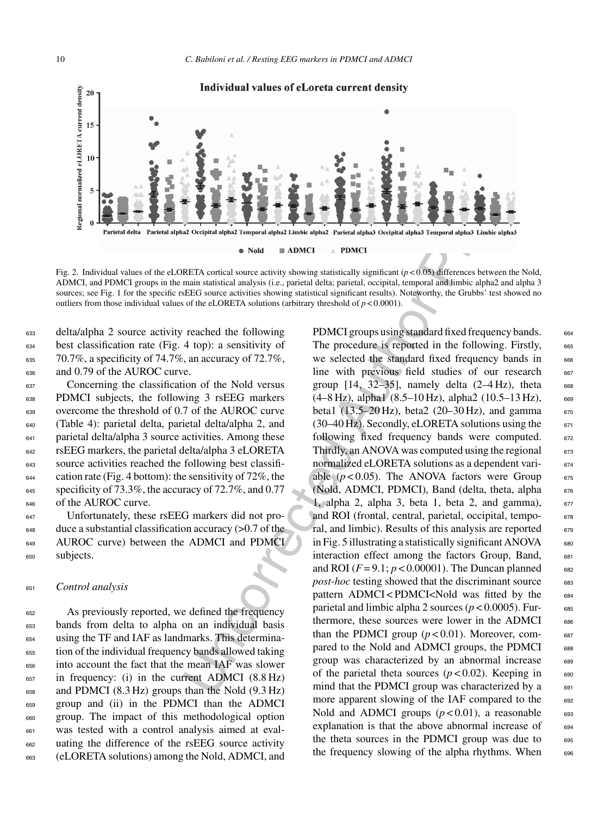

Fig. 2. Individual values of the eLORETA cortical source activity showing statistically significant ( $p < 0.05$ ) differences between the Nold, ADMCI, and PDMCI groups in the main statistical analysis (i.e., parietal delta; parietal, occipital, temporal and limbic alpha2 and alpha 3 sources; see Fig. 1 for the specific rsEEG source activities showing statistical significant results). Noteworthy, the Grubbs' test showed no outliers from those individual values of the eLORETA solutions (arbitrary threshold of  $p < 0.0001$ ).

 delta/alpha 2 source activity reached the following best classification rate (Fig. 4 top): a sensitivity of  $\frac{635}{1000}$  70.7%, a specificity of 74.7%, an accuracy of 72.7%, and 0.79 of the AUROC curve.

 Concerning the classification of the Nold versus PDMCI subjects, the following 3 rsEEG markers overcome the threshold of 0.7 of the AUROC curve (Table 4): parietal delta, parietal delta/alpha 2, and parietal delta/alpha 3 source activities. Among these rsEEG markers, the parietal delta/alpha 3 eLORETA source activities reached the following best classifi-<sup>644</sup> cation rate (Fig. 4 bottom): the sensitivity of 72%, the 645 specificity of 73.3%, the accuracy of 72.7%, and 0.77 of the AUROC curve.

 Unfortunately, these rsEEG markers did not pro- $_{648}$  duce a substantial classification accuracy ( $>0.7$  of the AUROC curve) between the ADMCI and PDMCI subjects.

#### <sup>651</sup> *Control analysis*

 As previously reported, we defined the frequency bands from delta to alpha on an individual basis using the TF and IAF as landmarks. This determina- tion of the individual frequency bands allowed taking into account the fact that the mean IAF was slower in frequency: (i) in the current ADMCI (8.8 Hz) and PDMCI (8.3 Hz) groups than the Nold (9.3 Hz) group and (ii) in the PDMCI than the ADMCI group. The impact of this methodological option was tested with a control analysis aimed at eval- uating the difference of the rsEEG source activity (eLORETA solutions) among the Nold, ADMCI, and

**Example 2.1** and the North Authoris and the specified and the specified of the specified of the specific states activity showing suitarisation ( $p \in \mathbb{R}$ ). Althor AUTA control and the specified of the specified of the PDMCI groups using standard fixed frequency bands. 664 The procedure is reported in the following. Firstly,  $\frac{665}{665}$ we selected the standard fixed frequency bands in 666 line with previous field studies of our research  $667$ group [14, 32–35], namely delta  $(2-4 Hz)$ , theta 668 (4–8 Hz), alpha1 (8.5–10 Hz), alpha2 (10.5–13 Hz), <sup>669</sup> beta1 (13.5–20 Hz), beta2 (20–30 Hz), and gamma  $670$  $(30-40 \text{ Hz})$ . Secondly, eLORETA solutions using the  $671$ following fixed frequency bands were computed. 672 Thirdly, an ANOVA was computed using the regional  $673$ normalized eLORETA solutions as a dependent variable  $(p<0.05)$ . The ANOVA factors were Group 675 (Nold, ADMCI, PDMCI), Band (delta, theta, alpha 676 1, alpha 2, alpha 3, beta 1, beta 2, and gamma),  $677$ and ROI (frontal, central, parietal, occipital, tempo- 678 ral, and limbic). Results of this analysis are reported  $679$ in Fig. 5 illustrating a statistically significant ANOVA  $_{680}$ interaction effect among the factors Group, Band, 681 and ROI  $(F = 9.1; p < 0.00001)$ . The Duncan planned 682 *post-hoc* testing showed that the discriminant source 683 pattern ADMCI<PDMCI<Nold was fitted by the 684 parietal and limbic alpha 2 sources  $(p < 0.0005)$ . Furthermore, these sources were lower in the ADMCI 686 than the PDMCI group  $(p < 0.01)$ . Moreover, compared to the Nold and ADMCI groups, the PDMCI 688 group was characterized by an abnormal increase 689 of the parietal theta sources  $(p < 0.02)$ . Keeping in 690 mind that the PDMCI group was characterized by a  $\frac{691}{691}$ more apparent slowing of the IAF compared to the 692 Nold and ADMCI groups  $(p<0.01)$ , a reasonable 693 explanation is that the above abnormal increase of 694 the theta sources in the PDMCI group was due to 695 the frequency slowing of the alpha rhythms. When  $\frac{696}{696}$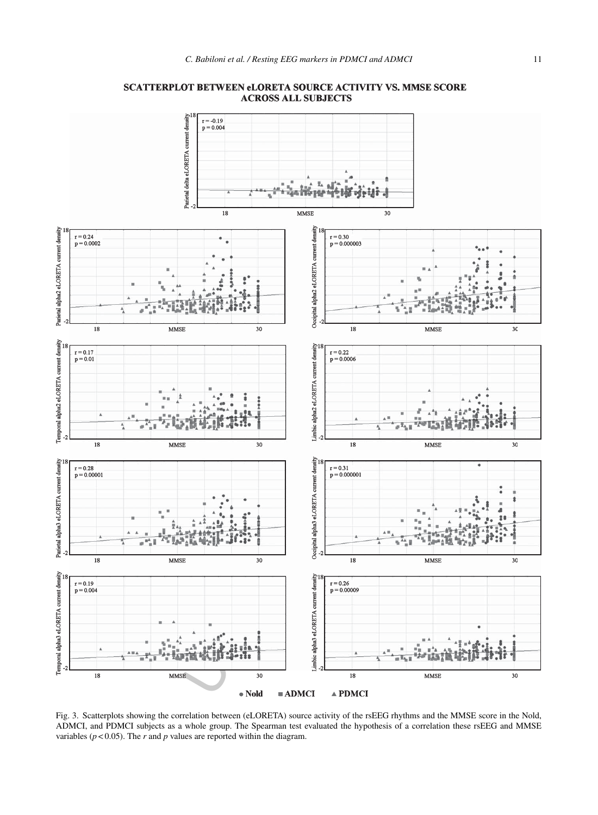

#### **SCATTERPLOT BETWEEN eLORETA SOURCE ACTIVITY VS. MMSE SCORE ACROSS ALL SUBJECTS**

Fig. 3. Scatterplots showing the correlation between (eLORETA) source activity of the rsEEG rhythms and the MMSE score in the Nold, ADMCI, and PDMCI subjects as a whole group. The Spearman test evaluated the hypothesis of a correlation these rsEEG and MMSE variables ( $p < 0.05$ ). The  $r$  and  $p$  values are reported within the diagram.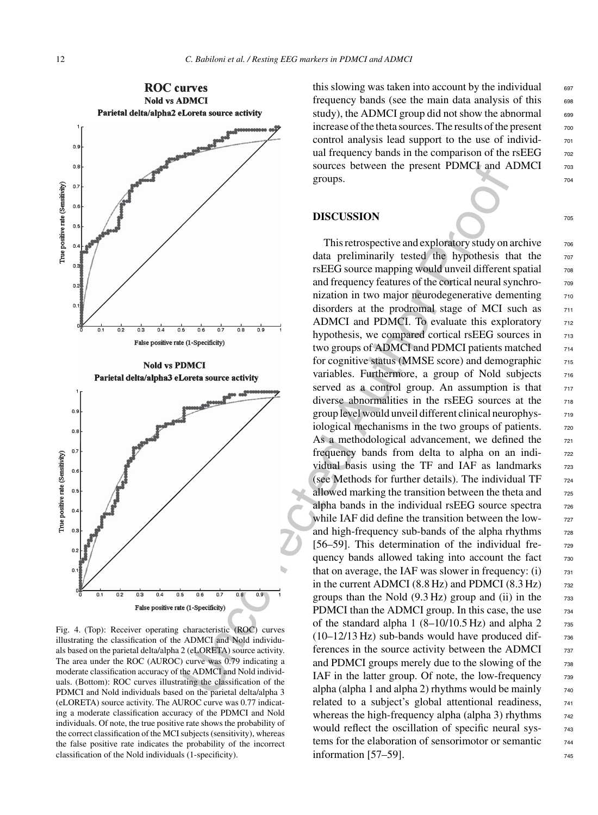

Fig. 4. (Top): Receiver operating characteristic (ROC) curves illustrating the classification of the ADMCI and Nold individuals based on the parietal delta/alpha 2 (eLORETA) source activity. The area under the ROC (AUROC) curve was 0.79 indicating a moderate classification accuracy of the ADMCI and Nold individuals. (Bottom): ROC curves illustrating the classification of the PDMCI and Nold individuals based on the parietal delta/alpha 3 (eLORETA) source activity. The AUROC curve was 0.77 indicating a moderate classification accuracy of the PDMCI and Nold individuals. Of note, the true positive rate shows the probability of the correct classification of the MCI subjects (sensitivity), whereas the false positive rate indicates the probability of the incorrect classification of the Nold individuals (1-specificity).

this slowing was taken into account by the individual  $\frac{697}{697}$ frequency bands (see the main data analysis of this 698 study), the ADMCI group did not show the abnormal  $\qquad$  699 increase of the theta sources. The results of the present  $700$ control analysis lead support to the use of individual frequency bands in the comparison of the rs $EEG$   $702$ sources between the present PDMCI and ADMCI 703 groups. 704

#### **DISCUSSION** 705

sources between the present PDMCI and A<br>groups.<br>
DISCUSSION<br>
This retrospective and exploratory study on a<br>data preliminarity tested the hypothesis of<br>
neEEG source mapping would unveil different<br>
and frequency features o This retrospective and exploratory study on archive  $\qquad$  706 data preliminarily tested the hypothesis that the 707 rsEEG source mapping would unveil different spatial  $\frac{708}{708}$ and frequency features of the cortical neural synchronization in two major neurodegenerative dementing  $<sub>710</sub>$ </sub> disorders at the prodromal stage of MCI such as  $711$ ADMCI and PDMCI. To evaluate this exploratory  $712$ hypothesis, we compared cortical rsEEG sources in  $\frac{713}{212}$ two groups of ADMCI and PDMCI patients matched $_{714}$ for cognitive status (MMSE score) and demographic  $\frac{715}{715}$ variables. Furthermore, a group of Nold subjects  $716$ served as a control group. An assumption is that  $717$ diverse abnormalities in the rsEEG sources at the 718 group level would unveil different clinical neurophys-<br> iological mechanisms in the two groups of patients. 720 As a methodological advancement, we defined the  $\frac{721}{721}$ frequency bands from delta to alpha on an individual basis using the  $TF$  and  $IAF$  as landmarks  $\frac{723}{25}$ (see Methods for further details). The individual  $TF$   $_{724}$ allowed marking the transition between the theta and  $\frac{725}{25}$ alpha bands in the individual rsEEG source spectra  $\frac{726}{20}$ while IAF did define the transition between the lowand high-frequency sub-bands of the alpha rhythms  $\frac{728}{2}$ [56–59]. This determination of the individual frequency bands allowed taking into account the fact  $\frac{730}{2}$ that on average, the IAF was slower in frequency:  $(i)$  731 in the current ADMCI  $(8.8 \text{ Hz})$  and PDMCI  $(8.3 \text{ Hz})$   $\frac{}{732}$ groups than the Nold  $(9.3 \text{ Hz})$  group and (ii) in the  $\frac{733}{2}$ PDMCI than the ADMCI group. In this case, the use  $\frac{734}{734}$ of the standard alpha 1  $(8-10/10.5 \text{ Hz})$  and alpha 2  $\frac{735}{2}$  $(10-12/13 \text{ Hz})$  sub-bands would have produced dif- $\frac{736}{4}$ ferences in the source activity between the ADMCI 737 and PDMCI groups merely due to the slowing of the  $\frac{738}{2}$ IAF in the latter group. Of note, the low-frequency  $\frac{739}{2}$ alpha (alpha 1 and alpha 2) rhythms would be mainly  $\frac{740}{7}$ related to a subject's global attentional readiness,  $741$ whereas the high-frequency alpha (alpha 3) rhythms  $_{742}$ would reflect the oscillation of specific neural systems for the elaboration of sensorimotor or semantic  $_{744}$ information  $[57-59]$ .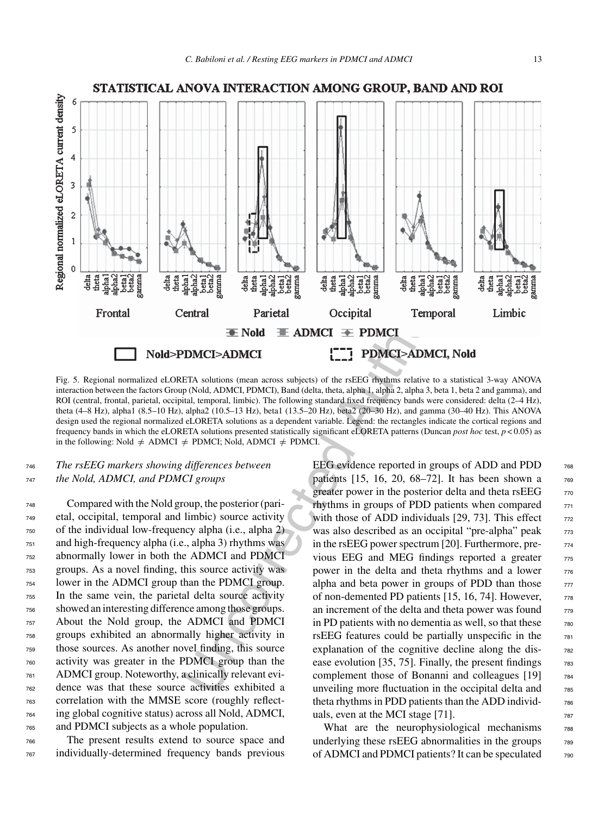

Fig. 5. Regional normalized eLORETA solutions (mean across subjects) of the rsEEG rhythms relative to a statistical 3-way ANOVA interaction between the factors Group (Nold, ADMCI, PDMCI), Band (delta, theta, alpha 1, alpha 2, alpha 3, beta 1, beta 2 and gamma), and ROI (central, frontal, parietal, occipital, temporal, limbic). The following standard fixed frequency bands were considered: delta (2–4 Hz), theta (4–8 Hz), alpha1 (8.5–10 Hz), alpha2 (10.5–13 Hz), beta1 (13.5–20 Hz), beta2 (20–30 Hz), and gamma (30–40 Hz). This ANOVA design used the regional normalized eLORETA solutions as a dependent variable. Legend: the rectangles indicate the cortical regions and frequency bands in which the eLORETA solutions presented statistically significant eLORETA patterns (Duncan *post hoc* test, *p* < 0.05) as in the following: Nold  $\neq$  ADMCI  $\neq$  PDMCI; Nold, ADMCI  $\neq$  PDMCI.

# <sup>746</sup> *The rsEEG markers showing differences between* <sup>747</sup> *the Nold, ADMCI, and PDMCI groups*

 Compared with the Nold group, the posterior (pari- etal, occipital, temporal and limbic) source activity of the individual low-frequency alpha (i.e., alpha 2) and high-frequency alpha (i.e., alpha 3) rhythms was abnormally lower in both the ADMCI and PDMCI groups. As a novel finding, this source activity was lower in the ADMCI group than the PDMCI group. In the same vein, the parietal delta source activity showed an interesting difference among those groups. About the Nold group, the ADMCI and PDMCI groups exhibited an abnormally higher activity in those sources. As another novel finding, this source activity was greater in the PDMCI group than the ADMCI group. Noteworthy, a clinically relevant evi- dence was that these source activities exhibited a correlation with the MMSE score (roughly reflect- ing global cognitive status) across all Nold, ADMCI, and PDMCI subjects as a whole population.

<sup>766</sup> The present results extend to source space and <sup>767</sup> individually-determined frequency bands previous

EEG evidence reported in groups of ADD and PDD  $_{768}$ patients  $[15, 16, 20, 68-72]$ . It has been shown a  $769$ greater power in the posterior delta and theta rsEEG  $\frac{770}{770}$ rhythms in groups of PDD patients when compared  $\frac{771}{771}$ with those of ADD individuals  $[29, 73]$ . This effect  $\frac{772}{772}$ was also described as an occipital "pre-alpha" peak  $\frac{773}{773}$ in the rsEEG power spectrum [20]. Furthermore, previous EEG and MEG findings reported a greater 775 power in the delta and theta rhythms and a lower  $\frac{776}{60}$ alpha and beta power in groups of PDD than those  $\frac{777}{277}$ of non-demented PD patients  $[15, 16, 74]$ . However,  $778$ an increment of the delta and theta power was found  $779$ in PD patients with no dementia as well, so that these  $\frac{780}{100}$ rsEEG features could be partially unspecific in the 781 explanation of the cognitive decline along the disease evolution  $[35, 75]$ . Finally, the present findings  $\frac{783}{2}$ complement those of Bonanni and colleagues [19]  $\frac{784}{784}$ unveiling more fluctuation in the occipital delta and  $\frac{785}{60}$ theta rhythms in PDD patients than the ADD individuals, even at the MCI stage  $[71]$ .

What are the neurophysiological mechanisms 788 underlying these rsEEG abnormalities in the groups  $\frac{788}{789}$ of ADMCI and PDMCI patients? It can be speculated  $\frac{790}{790}$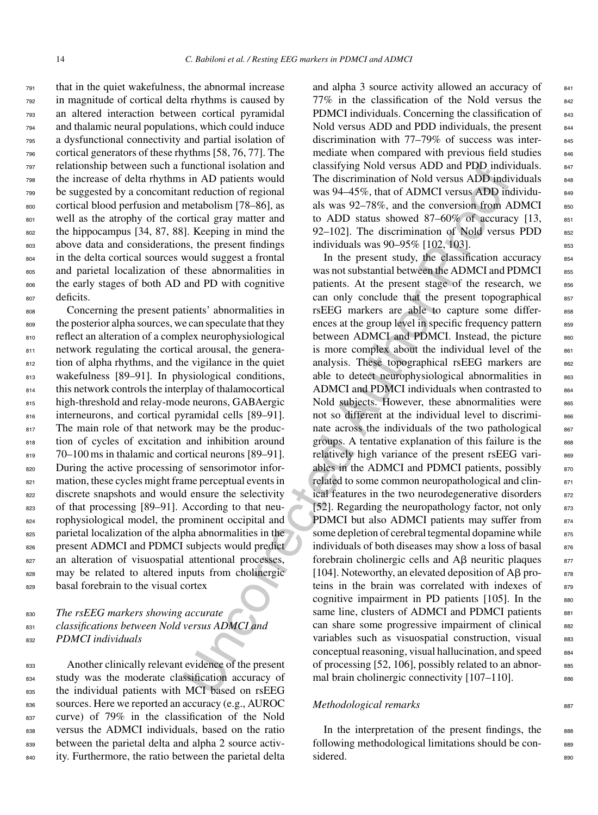that in the quiet wakefulness, the abnormal increase in magnitude of cortical delta rhythms is caused by an altered interaction between cortical pyramidal and thalamic neural populations, which could induce a dysfunctional connectivity and partial isolation of cortical generators of these rhythms [58, 76, 77]. The relationship between such a functional isolation and the increase of delta rhythms in AD patients would be suggested by a concomitant reduction of regional cortical blood perfusion and metabolism [78–86], as 801 well as the atrophy of the cortical gray matter and the hippocampus [34, 87, 88]. Keeping in mind the above data and considerations, the present findings in the delta cortical sources would suggest a frontal and parietal localization of these abnormalities in the early stages of both AD and PD with cognitive deficits.

<sup>808</sup> Concerning the present patients' abnormalities in 809 the posterior alpha sources, we can speculate that they 810 reflect an alteration of a complex neurophysiological 811 network regulating the cortical arousal, the genera-812 tion of alpha rhythms, and the vigilance in the quiet <sup>813</sup> wakefulness [89–91]. In physiological conditions, 814 this network controls the interplay of thalamocortical 815 high-threshold and relay-mode neurons, GABAergic 816 interneurons, and cortical pyramidal cells [89–91]. 817 The main role of that network may be the produc-818 tion of cycles of excitation and inhibition around 819 70–100 ms in thalamic and cortical neurons [89–91]. 820 During the active processing of sensorimotor infor-821 mation, these cycles might frame perceptual events in <sup>822</sup> discrete snapshots and would ensure the selectivity <sup>823</sup> of that processing [89–91]. According to that neu-<sup>824</sup> rophysiological model, the prominent occipital and <sup>825</sup> parietal localization of the alpha abnormalities in the 826 present ADMCI and PDMCI subjects would predict 827 an alteration of visuospatial attentional processes, <sup>828</sup> may be related to altered inputs from cholinergic <sup>829</sup> basal forebrain to the visual cortex

# <sup>830</sup> *The rsEEG markers showing accurate* <sup>831</sup> *classifications between Nold versus ADMCI and* <sup>832</sup> *PDMCI individuals*

<sup>833</sup> Another clinically relevant evidence of the present <sup>834</sup> study was the moderate classification accuracy of 835 the individual patients with MCI based on rsEEG 836 sources. Here we reported an accuracy (e.g., AUROC <sup>837</sup> curve) of 79% in the classification of the Nold 838 versus the ADMCI individuals, based on the ratio 839 between the parietal delta and alpha 2 source activ-<sup>840</sup> ity. Furthermore, the ratio between the parietal delta

and alpha 3 source activity allowed an accuracy of  $841$ 77% in the classification of the Nold versus the 842 PDMCI individuals. Concerning the classification of  $_{843}$ Nold versus ADD and PDD individuals, the present  $844$ discrimination with  $77-79\%$  of success was intermediate when compared with previous field studies 846 classifying Nold versus ADD and PDD individuals. 847 The discrimination of Nold versus ADD individuals  $_{848}$ was  $94-45\%$ , that of ADMCI versus ADD individuals was  $92-78\%$ , and the conversion from ADMCI  $850$ to ADD status showed  $87-60\%$  of accuracy  $[13,$  851 92–102]. The discrimination of Nold versus PDD  $852$ individuals was  $90-95\%$  [102, 103].

Interdeton and solation and<br>
in AD partietts would<br>
The discrimination of Nold versus ADD indi-<br>
int reduction of The discrimination of Nold versus ADD indi-<br>
int reduction of The discrimination of Nold versus ADD indi-<br> In the present study, the classification accuracy  $854$ was not substantial between the ADMCI and PDMCI 855 patients. At the present stage of the research, we  $856$ can only conclude that the present topographical 857 rsEEG markers are able to capture some differ-<br>sse ences at the group level in specific frequency pattern  $859$ between ADMCI and PDMCI. Instead, the picture 860 is more complex about the individual level of the  $861$ analysis. These topographical rsEEG markers are  $862$ able to detect neurophysiological abnormalities in 863 ADMCI and PDMCI individuals when contrasted to  $864$ Nold subjects. However, these abnormalities were 865 not so different at the individual level to discrimi-<br>see nate across the individuals of the two pathological  $867$ groups. A tentative explanation of this failure is the  $868$ relatively high variance of the present rsEEG vari-<br>see ables in the ADMCI and PDMCI patients, possibly 870 related to some common neuropathological and clinical features in the two neurodegenerative disorders 872 [52]. Regarding the neuropathology factor, not only  $873$ PDMCI but also ADMCI patients may suffer from 874 some depletion of cerebral tegmental dopamine while  $875$ individuals of both diseases may show a loss of basal 876 forebrain cholinergic cells and  $\overrightarrow{AB}$  neuritic plaques  $877$ [104]. Noteworthy, an elevated deposition of  $\mathbf{A}\boldsymbol{\beta}$  proteins in the brain was correlated with indexes of 879 cognitive impairment in PD patients  $[105]$ . In the  $880$ same line, clusters of ADMCI and PDMCI patients 881 can share some progressive impairment of clinical 882 variables such as visuospatial construction, visual 883 conceptual reasoning, visual hallucination, and speed  $884$ of processing [52, 106], possibly related to an abnormal brain cholinergic connectivity  $[107-110]$ .

#### *Methodological remarks* 887

In the interpretation of the present findings, the  $\frac{888}{100}$ following methodological limitations should be considered. and the set of the set of the set of the set of the set of the set of the set of the set of the set of the set of the set of the set of the set of the set of the set of the set of the set of the set of the set of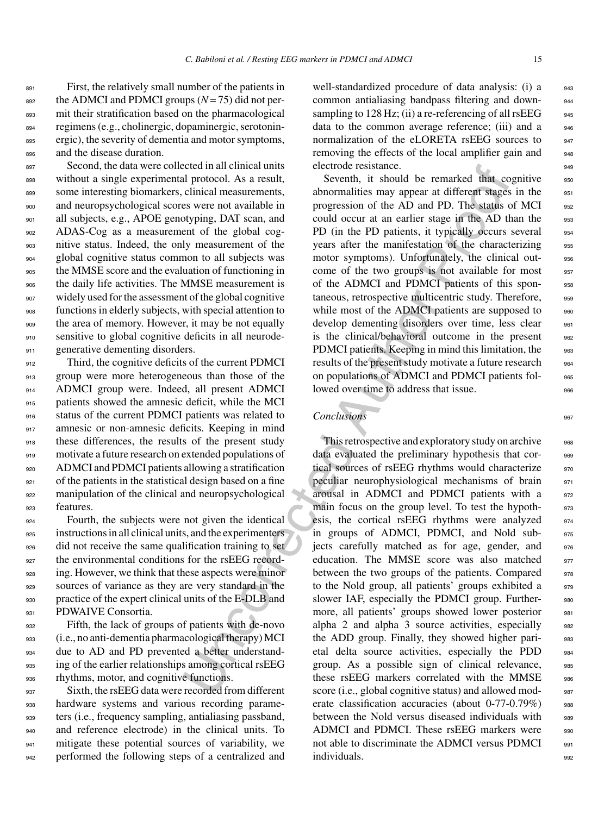First, the relatively small number of the patients in the ADMCI and PDMCI groups ( $N = 75$ ) did not per- mit their stratification based on the pharmacological regimens (e.g., cholinergic, dopaminergic, serotonin- ergic), the severity of dementia and motor symptoms, and the disease duration.

897 Second, the data were collected in all clinical units without a single experimental protocol. As a result, some interesting biomarkers, clinical measurements, and neuropsychological scores were not available in all subjects, e.g., APOE genotyping, DAT scan, and ADAS-Cog as a measurement of the global cog- nitive status. Indeed, the only measurement of the global cognitive status common to all subjects was the MMSE score and the evaluation of functioning in the daily life activities. The MMSE measurement is widely used for the assessment of the global cognitive functions in elderly subjects, with special attention to the area of memory. However, it may be not equally sensitive to global cognitive deficits in all neurode-911 generative dementing disorders.

 Third, the cognitive deficits of the current PDMCI 913 group were more heterogeneous than those of the ADMCI group were. Indeed, all present ADMCI patients showed the amnesic deficit, while the MCI status of the current PDMCI patients was related to 917 amnesic or non-amnesic deficits. Keeping in mind these differences, the results of the present study motivate a future research on extended populations of 920 ADMCI and PDMCI patients allowing a stratification 921 of the patients in the statistical design based on a fine manipulation of the clinical and neuropsychological features.

<sup>924</sup> Fourth, the subjects were not given the identical <sup>925</sup> instructions in all clinical units, and the experimenters <sup>926</sup> did not receive the same qualification training to set 927 the environmental conditions for the rsEEG record-<sup>928</sup> ing. However, we think that these aspects were minor 929 sources of variance as they are very standard in the 930 practice of the expert clinical units of the E-DLB and 931 PDWAIVE Consortia.

<sup>932</sup> Fifth, the lack of groups of patients with de-novo <sup>933</sup> (i.e., no anti-dementia pharmacological therapy) MCI 934 due to AD and PD prevented a better understand-935 ing of the earlier relationships among cortical rsEEG <sup>936</sup> rhythms, motor, and cognitive functions.

 Sixth, the rsEEG data were recorded from different hardware systems and various recording parame- ters (i.e., frequency sampling, antialiasing passband, and reference electrode) in the clinical units. To 941 mitigate these potential sources of variability, we 942 performed the following steps of a centralized and well-standardized procedure of data analysis: (i) a 943 common antialiasing bandpass filtering and down- <sup>944</sup> sampling to 128 Hz; (ii) a re-referencing of all rsEEG  $_{945}$ data to the common average reference; (iii) and a  $_{946}$ normalization of the eLORETA rsEEG sources to 947 removing the effects of the local amplifier gain and 948 electrode resistance.

Seventh, it should be remarked that cognitive 950 abnormalities may appear at different stages in the 951 progression of the AD and PD. The status of MCI 952 could occur at an earlier stage in the AD than the 953 PD (in the PD patients, it typically occurs several 954 years after the manifestation of the characterizing 955 motor symptoms). Unfortunately, the clinical outcome of the two groups is not available for most 957 of the ADMCI and PDMCI patients of this spon- <sup>958</sup> taneous, retrospective multicentric study. Therefore, 959 while most of the ADMCI patients are supposed to 960 develop dementing disorders over time, less clear 961 is the clinical/behavioral outcome in the present 962 PDMCI patients. Keeping in mind this limitation, the 963 results of the present study motivate a future research <sub>964</sub> on populations of ADMCI and PDMCI patients followed over time to address that issue.

#### $Conclusions$ <sub>967</sub>

created naticipateal exerction ensattanes<br>
electron and protocol. As a result, Severuth, it should be remarked that co<br>
eliptrical measurements, abnormalities may appear at different stages<br>
eliptrical measurements, and co This retrospective and exploratory study on archive 968 data evaluated the preliminary hypothesis that cor-<br>969 tical sources of rsEEG rhythms would characterize 970 peculiar neurophysiological mechanisms of brain 971 arousal in ADMCI and PDMCI patients with a 972 main focus on the group level. To test the hypoth-<br>973 esis, the cortical rsEEG rhythms were analyzed 974 in groups of ADMCI, PDMCI, and Nold sub-<br>975 jects carefully matched as for age, gender, and 976 education. The MMSE score was also matched 977 between the two groups of the patients. Compared  $978$ to the Nold group, all patients' groups exhibited a 979 slower IAF, especially the PDMCI group. Further-<br>980 more, all patients' groups showed lower posterior 981 alpha 2 and alpha 3 source activities, especially 982 the ADD group. Finally, they showed higher pari-<br>983 etal delta source activities, especially the PDD 984 group. As a possible sign of clinical relevance, 985 these rsEEG markers correlated with the MMSE 986 score (i.e., global cognitive status) and allowed moderate classification accuracies (about 0-77-0.79%) 988 between the Nold versus diseased individuals with 989 ADMCI and PDMCI. These rsEEG markers were 990 not able to discriminate the ADMCI versus PDMCI 991 individuals.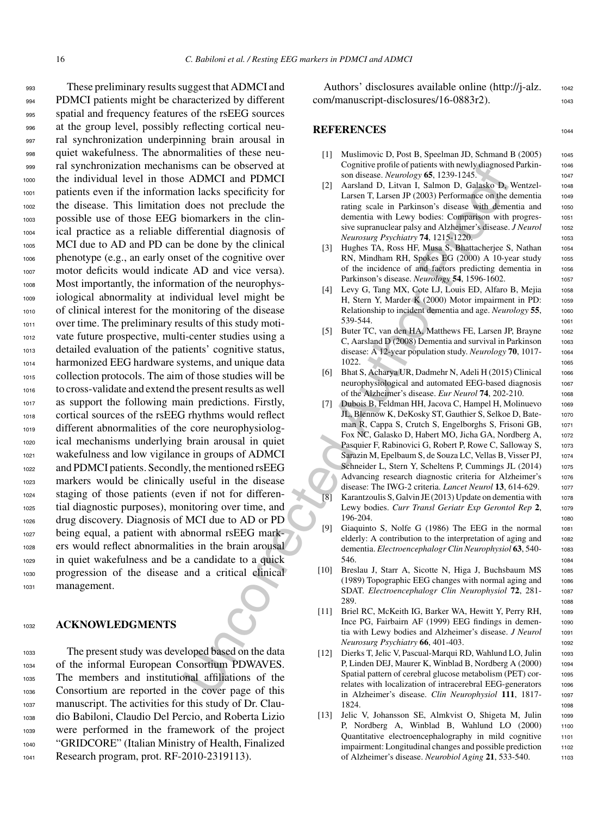STRIS can be observed at Constraints on the same of particle (19) And the Uncorrected Author Space Constraints of the term is the constraints of the same of the same of the same of the same of the same of the same of the These preliminary results suggest that ADMCI and 994 PDMCI patients might be characterized by different spatial and frequency features of the rsEEG sources at the group level, possibly reflecting cortical neu- ral synchronization underpinning brain arousal in quiet wakefulness. The abnormalities of these neu- ral synchronization mechanisms can be observed at the individual level in those ADMCI and PDMCI patients even if the information lacks specificity for the disease. This limitation does not preclude the possible use of those EEG biomarkers in the clin- ical practice as a reliable differential diagnosis of MCI due to AD and PD can be done by the clinical phenotype (e.g., an early onset of the cognitive over motor deficits would indicate AD and vice versa). Most importantly, the information of the neurophys- iological abnormality at individual level might be of clinical interest for the monitoring of the disease over time. The preliminary results of this study moti- vate future prospective, multi-center studies using a detailed evaluation of the patients' cognitive status, harmonized EEG hardware systems, and unique data collection protocols. The aim of those studies will be to cross-validate and extend the present results as well as support the following main predictions. Firstly, cortical sources of the rsEEG rhythms would reflect different abnormalities of the core neurophysiolog- ical mechanisms underlying brain arousal in quiet wakefulness and low vigilance in groups of ADMCI and PDMCI patients. Secondly, the mentioned rsEEG markers would be clinically useful in the disease staging of those patients (even if not for differen- tial diagnostic purposes), monitoring over time, and drug discovery. Diagnosis of MCI due to AD or PD being equal, a patient with abnormal rsEEG mark- ers would reflect abnormalities in the brain arousal in quiet wakefulness and be a candidate to a quick progression of the disease and a critical clinical management.

# <sup>1032</sup> **ACKNOWLEDGMENTS**

 The present study was developed based on the data of the informal European Consortium PDWAVES. The members and institutional affiliations of the Consortium are reported in the cover page of this manuscript. The activities for this study of Dr. Clau- dio Babiloni, Claudio Del Percio, and Roberta Lizio were performed in the framework of the project "GRIDCORE" (Italian Ministry of Health, Finalized Research program, prot. RF-2010-2319113).

Authors' disclosures available online [\(http://j-alz.](http://j-alz.com/manuscript-disclosures/16-0883r2) 1042 [com/manuscript-disclosures/16-0883r2\)](http://j-alz.com/manuscript-disclosures/16-0883r2).

# **REFERENCES** <sup>1044</sup>

- [1] Muslimovic D, Post B, Speelman JD, Schmand B (2005) 1045 Cognitive profile of patients with newly diagnosed Parkin- <sup>1046</sup> son disease. *Neurology* **65**, 1239-1245. 1047
- [2] Aarsland D, Litvan I, Salmon D, Galasko D, Wentzel- <sup>1048</sup> Larsen T, Larsen JP (2003) Performance on the dementia 1049 rating scale in Parkinson's disease with dementia and 1050 dementia with Lewy bodies: Comparison with progres- <sup>1051</sup> sive supranuclear palsy and Alzheimer's disease. *J Neurol* 1052 *Neurosurg Psychiatry* **74**, 1215-1220. 1053
- [3] Hughes TA, Ross HF, Musa S, Bhattacherjee S, Nathan 1054 RN, Mindham RH, Spokes EG (2000) A 10-year study 1055 of the incidence of and factors predicting dementia in <sup>1056</sup> Parkinson's disease. *Neurology* **54**, 1596-1602. <sup>1057</sup>
- [4] Levy G, Tang MX, Cote LJ, Louis ED, Alfaro B, Mejia 1058 H, Stern Y, Marder K (2000) Motor impairment in PD: 1059 Relationship to incident dementia and age. *Neurology* **55**, <sup>1060</sup> 539-544. <sup>1061</sup>
- [5] Buter TC, van den HA, Matthews FE, Larsen JP, Brayne <sup>1062</sup> C, Aarsland D (2008) Dementia and survival in Parkinson 1063 disease: A 12-year population study. *Neurology* **70**, 1017- <sup>1064</sup> 1022. 1065
- [6] Bhat S, Acharya UR, Dadmehr N, Adeli H (2015) Clinical 1066 neurophysiological and automated EEG-based diagnosis 1067 of the Alzheimer's disease. *Eur Neurol* **74**, 202-210. <sup>1068</sup>
- [7] Dubois B, Feldman HH, Jacova C, Hampel H, Molinuevo 1069 JL, Blennow K, DeKosky ST, Gauthier S, Selkoe D, Bate- <sup>1070</sup> man R, Cappa S, Crutch S, Engelborghs S, Frisoni GB, 1071 Fox NC, Galasko D, Habert MO, Jicha GA, Nordberg A, 1072 Pasquier F, Rabinovici G, Robert P, Rowe C, Salloway S, 1073 Sarazin M, Epelbaum S, de Souza LC, Vellas B, Visser PJ, 1074 Schneider L, Stern Y, Scheltens P, Cummings JL (2014) 1075 Advancing research diagnostic criteria for Alzheimer's 1076 disease: The IWG-2 criteria. *Lancet Neurol* **13**, 614-629. <sup>1077</sup>
- $[8]$  Karantzoulis S, Galvin JE (2013) Update on dementia with  $1078$ Lewy bodies. *Curr Transl Geriatr Exp Gerontol Rep* 2, 1079 196-204. 1080
- [9] Giaquinto S, Nolfe G (1986) The EEG in the normal 1081 elderly: A contribution to the interpretation of aging and 1082 dementia. *Electroencephalogr Clin Neurophysiol* **63**, 540- <sup>1083</sup>  $546.$  1084
- [10] Breslau J, Starr A, Sicotte N, Higa J, Buchsbaum MS 1085 (1989) Topographic EEG changes with normal aging and <sup>1086</sup> SDAT. *Electroencephalogr Clin Neurophysiol* **72**, 281- <sup>1087</sup> 289. 1088
- [11] Briel RC, McKeith IG, Barker WA, Hewitt Y, Perry RH, 1089 Ince PG, Fairbairn AF (1999) EEG findings in demen- <sup>1090</sup> tia with Lewy bodies and Alzheimer's disease. *J Neurol* 1091 *Neurosurg Psychiatry* **66**, 401-403. <sup>1092</sup>
- [12] Dierks T, Jelic V, Pascual-Marqui RD, Wahlund LO, Julin 1093 P, Linden DEJ, Maurer K, Winblad B, Nordberg A (2000) 1094 Spatial pattern of cerebral glucose metabolism (PET) correlates with localization of intracerebral EEG-generators 1096 in Alzheimer's disease. *Clin Neurophysiol* **111**, 1817- <sup>1097</sup> 1824. 1098
- [13] Jelic V, Johansson SE, Almkvist O, Shigeta M, Julin 1099 P, Nordberg A, Winblad B, Wahlund LO (2000) 1100 Quantitative electroencephalography in mild cognitive <sup>1101</sup> impairment: Longitudinal changes and possible prediction 1102 of Alzheimer's disease. *Neurobiol Aging* **21**, 533-540. <sup>1103</sup>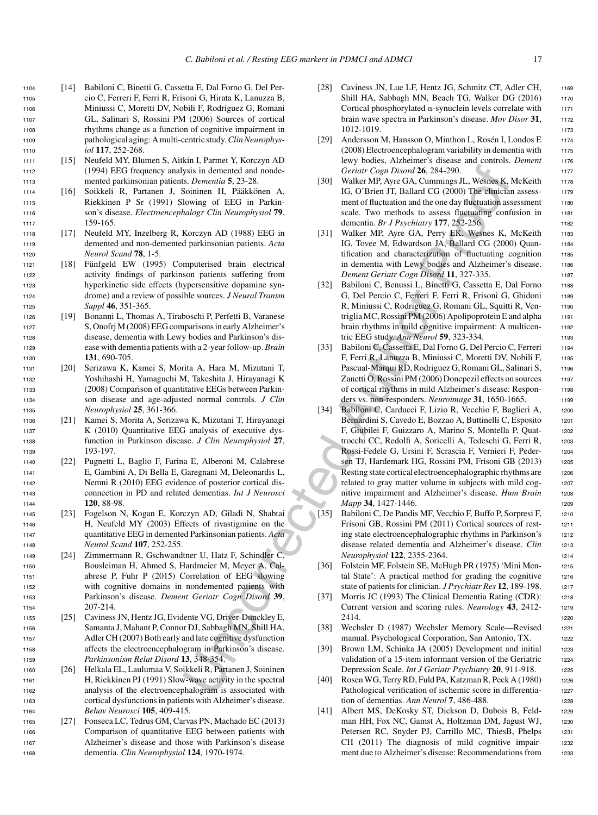- <sup>1104</sup> [14] Babiloni C, Binetti G, Cassetta E, Dal Forno G, Del Per-<sup>1105</sup> cio C, Ferreri F, Ferri R, Frisoni G, Hirata K, Lanuzza B, <sup>1106</sup> Miniussi C, Moretti DV, Nobili F, Rodriguez G, Romani <sup>1107</sup> GL, Salinari S, Rossini PM (2006) Sources of cortical <sup>1108</sup> rhythms change as a function of cognitive impairment in <sup>1109</sup> pathological aging: A multi-centric study.*Clin Neurophys-*<sup>1110</sup> *iol* **117**, 252-268.
- <sup>1111</sup> [15] Neufeld MY, Blumen S, Aitkin I, Parmet Y, Korczyn AD <sup>1112</sup> (1994) EEG frequency analysis in demented and nonde-<sup>1113</sup> mented parkinsonian patients. *Dementia* **5**, 23-28.
- 1114 [16] Soikkeli R, Partanen J, Soininen H, Pääkkönen A, <sup>1115</sup> Riekkinen P Sr (1991) Slowing of EEG in Parkin-<sup>1116</sup> son's disease. *Electroencephalogr Clin Neurophysiol* **79**, 1117 159-165.
- <sup>1118</sup> [17] Neufeld MY, Inzelberg R, Korczyn AD (1988) EEG in <sup>1119</sup> demented and non-demented parkinsonian patients. *Acta* <sup>1120</sup> *Neurol Scand* **78**, 1-5.
- 1121 [18] Fünfgeld EW (1995) Computerised brain electrical <sup>1122</sup> activity findings of parkinson patients suffering from <sup>1123</sup> hyperkinetic side effects (hypersensitive dopamine syn-<sup>1124</sup> drome) and a review of possible sources. *J Neural Transm* <sup>1125</sup> *Suppl* **46**, 351-365.
- <sup>1126</sup> [19] Bonanni L, Thomas A, Tiraboschi P, Perfetti B, Varanese <sup>1127</sup> S, Onofrj M (2008) EEG comparisons in early Alzheimer's <sup>1128</sup> disease, dementia with Lewy bodies and Parkinson's dis-<sup>1129</sup> ease with dementia patients with a 2-year follow-up. *Brain* <sup>1130</sup> **131**, 690-705.
- <sup>1131</sup> [20] Serizawa K, Kamei S, Morita A, Hara M, Mizutani T, <sup>1132</sup> Yoshihashi H, Yamaguchi M, Takeshita J, Hirayanagi K <sup>1133</sup> (2008) Comparison of quantitative EEGs between Parkin-<sup>1134</sup> son disease and age-adjusted normal controls. *J Clin* <sup>1135</sup> *Neurophysiol* **25**, 361-366.
- <sup>1136</sup> [21] Kamei S, Morita A, Serizawa K, Mizutani T, Hirayanagi <sup>1137</sup> K (2010) Quantitative EEG analysis of executive dys-<sup>1138</sup> function in Parkinson disease. *J Clin Neurophysiol* **27**, 1139 193-197.
- <sup>1140</sup> [22] Pugnetti L, Baglio F, Farina E, Alberoni M, Calabrese <sup>1141</sup> E, Gambini A, Di Bella E, Garegnani M, Deleonardis L, <sup>1142</sup> Nemni R (2010) EEG evidence of posterior cortical dis-<sup>1143</sup> connection in PD and related dementias. *Int J Neurosci* <sup>1144</sup> **120**, 88-98.
- <sup>1145</sup> [23] Fogelson N, Kogan E, Korczyn AD, Giladi N, Shabtai <sup>1146</sup> H, Neufeld MY (2003) Effects of rivastigmine on the <sup>1147</sup> quantitative EEG in demented Parkinsonian patients. *Acta* <sup>1148</sup> *Neurol Scand* **107**, 252-255.
- <sup>1149</sup> [24] Zimmermann R, Gschwandtner U, Hatz F, Schindler C, <sup>1150</sup> Bousleiman H, Ahmed S, Hardmeier M, Meyer A, Cal-<sup>1151</sup> abrese P, Fuhr P (2015) Correlation of EEG slowing <sup>1152</sup> with cognitive domains in nondemented patients with <sup>1153</sup> Parkinson's disease. *Dement Geriatr Cogn Disord* **39**, <sup>1154</sup> 207-214.
- <sup>1155</sup> [25] Caviness JN, Hentz JG, Evidente VG, Driver-Dunckley E, <sup>1156</sup> Samanta J, Mahant P, Connor DJ, Sabbagh MN, Shill HA, <sup>1157</sup> Adler CH (2007) Both early and late cognitive dysfunction <sup>1158</sup> affects the electroencephalogram in Parkinson's disease. <sup>1159</sup> *Parkinsonism Relat Disord* **13**, 348-354.
- <sup>1160</sup> [26] Helkala EL, Laulumaa V, Soikkeli R, Partanen J, Soininen <sup>1161</sup> H, Riekkinen PJ (1991) Slow-wave activity in the spectral <sup>1162</sup> analysis of the electroencephalogram is associated with <sup>1163</sup> cortical dysfunctions in patients with Alzheimer's disease. <sup>1164</sup> *Behav Neurosci* **105**, 409-415.
- <sup>1165</sup> [27] Fonseca LC, Tedrus GM, Carvas PN, Machado EC (2013) <sup>1166</sup> Comparison of quantitative EEG between patients with <sup>1167</sup> Alzheimer's disease and those with Parkinson's disease <sup>1168</sup> dementia. *Clin Neurophysiol* **124**, 1970-1974.
- [28] Caviness JN, Lue LF, Hentz JG, Schmitz CT, Adler CH, 1169 Shill HA, Sabbagh MN, Beach TG, Walker DG (2016) 1170 Cortical phosphorylated  $\alpha$ -synuclein levels correlate with  $1171$ brain wave spectra in Parkinson's disease. Mov Disor 31, 1172 1012-1019. <sup>1173</sup>
- [29] Andersson M, Hansson O, Minthon L, Rosén I, Londos E  $1174$  $(2008)$  Electroencephalogram variability in dementia with  $1175$ lewy bodies, Alzheimer's disease and controls. *Dement* 1176 *Geriatr Cogn Disord* **26**, 284-290. <sup>1177</sup>
- [30] Walker MP, Ayre GA, Cummings JL, Wesnes K, McKeith 1178 IG, O'Brien JT, Ballard CG (2000) The clinician assess-<br>1179 ment of fluctuation and the one day fluctuation assessment 1180 scale. Two methods to assess fluctuating confusion in 1181 dementia. *Br J Psychiatry* **177**, 252-256. <sup>1182</sup>
- [31] Walker MP, Ayre GA, Perry EK, Wesnes K, McKeith 1183 IG, Tovee M, Edwardson JA, Ballard CG (2000) Quan- <sup>1184</sup> tification and characterization of fluctuating cognition 1185 in dementia with Lewy bodies and Alzheimer's disease. 1186 *Dement Geriatr Cogn Disord* **11**, 327-335. <sup>1187</sup>
- [32] Babiloni C, Benussi L, Binetti G, Cassetta E, Dal Forno 1188 G, Del Percio C, Ferreri F, Ferri R, Frisoni G, Ghidoni 1189 R, Miniussi C, Rodriguez G, Romani GL, Squitti R, Ven1190 triglia MC, Rossini PM (2006) Apolipoprotein E and alpha 1191 brain rhythms in mild cognitive impairment: A multicen-<br>1192 tric EEG study. *Ann Neurol* **59**, 323-334. <sup>1193</sup>
- [33] Babiloni C, Cassetta E, Dal Forno G, Del Percio C, Ferreri 1194 F, Ferri R, Lanuzza B, Miniussi C, Moretti DV, Nobili F, 1195 Pascual-Marqui RD, Rodriguez G, Romani GL, Salinari S, 1196 Zanetti O, Rossini PM (2006) Donepezil effects on sources 1197 of cortical rhythms in mild Alzheimer's disease: Respon- <sup>1198</sup> ders vs. non-responders. *Neuroimage* **31**, 1650-1665. <sup>1199</sup>
- yes in demonstration and only the same of the core Door 26, 234-290.<br>
Shomen H, Publician A, 130 VMeter WR, Ayer GA, Cummings JI, Westers, Koninn H, Publician A, 150 VMeter MR, Ayer GA, Cummings JI, Westers, Koncorrected [34] Babiloni C, Carducci F, Lizio R, Vecchio F, Baglieri A, <sup>1200</sup> Bernardini S, Cavedo E, Bozzao A, Buttinelli C, Esposito 1201 F, Giubilei F, Guizzaro A, Marino S, Montella P, Quat- <sup>1202</sup> trocchi CC, Redolfi A, Soricelli A, Tedeschi G, Ferri R, <sup>1203</sup> Rossi-Fedele G, Ursini F, Scrascia F, Vernieri F, Peder- <sup>1204</sup> sen TJ, Hardemark HG, Rossini PM, Frisoni GB (2013) 1205 Resting state cortical electroencephalographic rhythms are 1206 related to gray matter volume in subjects with mild cog- <sup>1207</sup> nitive impairment and Alzheimer's disease. *Hum Brain* <sup>1208</sup> *Mapp* **34**, 1427-1446. 1209
	- [35] Babiloni C, De Pandis MF, Vecchio F, Buffo P, Sorpresi F, 1210 Frisoni GB, Rossini PM (2011) Cortical sources of rest- <sup>1211</sup> ing state electroencephalographic rhythms in Parkinson's 1212 disease related dementia and Alzheimer's disease. *Clin* <sup>1213</sup> *Neurophysiol* **122**, 2355-2364. 1214
	- [36] Folstein MF, Folstein SE, McHugh PR (1975) 'Mini Men- <sup>1215</sup> tal State': A practical method for grading the cognitive 1216 state of patients for clinician. *J Psychiatr Res* **12**, 189-198. <sup>1217</sup>
	- [37] Morris JC (1993) The Clinical Dementia Rating (CDR): 1218 Current version and scoring rules. *Neurology* **43**, 2412- <sup>1219</sup> 2414. <sup>1220</sup>
	- [38] Wechsler D (1987) Wechsler Memory Scale—Revised 1221 manual. Psychological Corporation, San Antonio, TX. 1222
	- [39] Brown LM, Schinka JA (2005) Development and initial 1223 validation of a 15-item informant version of the Geriatric 1224 Depression Scale. *Int J Geriatr Psychiatry* **20**, 911-918. <sup>1225</sup>
	- [40] Rosen WG, Terry RD, Fuld PA, Katzman R, Peck A (1980) 1226 Pathological verification of ischemic score in differentia-<br>1227 tion of dementias. *Ann Neurol* **7**, 486-488. <sup>1228</sup>
	- [41] Albert MS, DeKosky ST, Dickson D, Dubois B, Feld- <sup>1229</sup> man HH, Fox NC, Gamst A, Holtzman DM, Jagust WJ, 1230 Petersen RC, Snyder PJ, Carrillo MC, ThiesB, Phelps 1231 CH (2011) The diagnosis of mild cognitive impair- <sup>1232</sup> ment due to Alzheimer's disease: Recommendations from 1233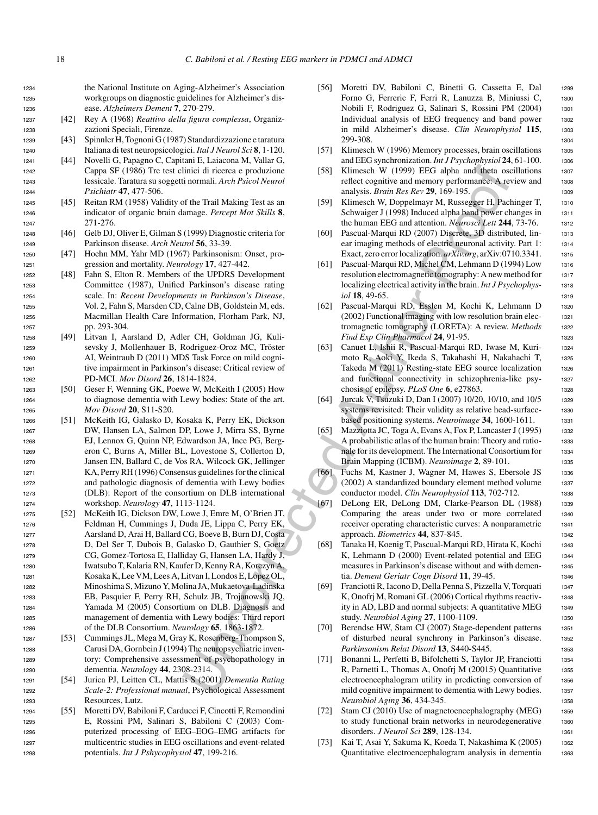<sup>1234</sup> the National Institute on Aging-Alzheimer's Association <sup>1235</sup> workgroups on diagnostic guidelines for Alzheimer's dis-<sup>1236</sup> ease. *Alzheimers Dement* **7**, 270-279.

- <sup>1237</sup> [42] Rey A (1968) *Reattivo della figura complessa*, Organiz-<sup>1238</sup> zazioni Speciali, Firenze.
- <sup>1239</sup> [43] Spinnler H, Tognoni G (1987) Standardizzazione e taratura <sup>1240</sup> Italiana di test neuropsicologici. *Ital J Neurol Sci* **8**, 1-120.
- <sup>1241</sup> [44] Novelli G, Papagno C, Capitani E, Laiacona M, Vallar G, <sup>1242</sup> Cappa SF (1986) Tre test clinici di ricerca e produzione <sup>1243</sup> lessicale. Taratura su soggetti normali. *Arch Psicol Neurol* <sup>1244</sup> *Psichiatr* **47**, 477-506.
- <sup>1245</sup> [45] Reitan RM (1958) Validity of the Trail Making Test as an <sup>1246</sup> indicator of organic brain damage. *Percept Mot Skills* **8**, <sup>1247</sup> 271-276.
- <sup>1248</sup> [46] Gelb DJ, Oliver E, Gilman S (1999) Diagnostic criteria for <sup>1249</sup> Parkinson disease. *Arch Neurol* **56**, 33-39.
- <sup>1250</sup> [47] Hoehn MM, Yahr MD (1967) Parkinsonism: Onset, pro-<sup>1251</sup> gression and mortality. *Neurology* **17**, 427-442.
- <sup>1252</sup> [48] Fahn S, Elton R. Members of the UPDRS Development <sup>1253</sup> Committee (1987), Unified Parkinson's disease rating <sup>1254</sup> scale. In: *Recent Developments in Parkinson's Disease*, <sup>1255</sup> Vol. 2, Fahn S, Marsden CD, Calne DB, Goldstein M, eds. <sup>1256</sup> Macmillan Health Care Information, Florham Park, NJ, <sup>1257</sup> pp. 293-304.
- <sup>1258</sup> [49] Litvan I, Aarsland D, Adler CH, Goldman JG, Kuli-1259 sevsky J, Mollenhauer B, Rodriguez-Oroz MC, Tröster <sup>1260</sup> AI, Weintraub D (2011) MDS Task Force on mild cogni-<sup>1261</sup> tive impairment in Parkinson's disease: Critical review of <sup>1262</sup> PD-MCI. *Mov Disord* **26**, 1814-1824.
- <sup>1263</sup> [50] Geser F, Wenning GK, Poewe W, McKeith I (2005) How <sup>1264</sup> to diagnose dementia with Lewy bodies: State of the art. <sup>1265</sup> *Mov Disord* **20**, S11-S20.
- <sup>1266</sup> [51] McKeith IG, Galasko D, Kosaka K, Perry EK, Dickson <sup>1267</sup> DW, Hansen LA, Salmon DP, Lowe J, Mirra SS, Byrne <sup>1268</sup> EJ, Lennox G, Quinn NP, Edwardson JA, Ince PG, Berg-<sup>1269</sup> eron C, Burns A, Miller BL, Lovestone S, Collerton D, <sup>1270</sup> Jansen EN, Ballard C, de Vos RA, Wilcock GK, Jellinger <sup>1271</sup> KA, Perry RH (1996) Consensus guidelines for the clinical <sup>1272</sup> and pathologic diagnosis of dementia with Lewy bodies <sup>1273</sup> (DLB): Report of the consortium on DLB international <sup>1274</sup> workshop. *Neurology* **47**, 1113-1124.
- linic di ricerca e probatione e probatione di Ricerca e probatione di ricerca e probatione di ricerce auto di ricerce auto di ricerce auto di ricerce auto di ricerce auto di ricerce auto di ricerce auto di ricerce auto di <sup>1275</sup> [52] McKeith IG, Dickson DW, Lowe J, Emre M, O'Brien JT, <sup>1276</sup> Feldman H, Cummings J, Duda JE, Lippa C, Perry EK, <sup>1277</sup> Aarsland D, Arai H, Ballard CG, Boeve B, Burn DJ, Costa <sup>1278</sup> D, Del Ser T, Dubois B, Galasko D, Gauthier S, Goetz <sup>1279</sup> CG, Gomez-Tortosa E, Halliday G, Hansen LA, Hardy J, <sup>1280</sup> Iwatsubo T, Kalaria RN, Kaufer D, Kenny RA, Korczyn A, <sup>1281</sup> Kosaka K, Lee VM, Lees A, Litvan I, Londos E, Lopez OL, <sup>1282</sup> Minoshima S, Mizuno Y, Molina JA, Mukaetova-Ladinska <sup>1283</sup> EB, Pasquier F, Perry RH, Schulz JB, Trojanowski JQ, <sup>1284</sup> Yamada M (2005) Consortium on DLB. Diagnosis and <sup>1285</sup> management of dementia with Lewy bodies: Third report <sup>1286</sup> of the DLB Consortium. *Neurology* **65**, 1863-1872.
- <sup>1287</sup> [53] Cummings JL, Mega M, Gray K, Rosenberg-Thompson S, <sup>1288</sup> Carusi DA, Gornbein J (1994) The neuropsychiatric inven-<sup>1289</sup> tory: Comprehensive assessment of psychopathology in <sup>1290</sup> dementia. *Neurology* **44**, 2308-2314.
- <sup>1291</sup> [54] Jurica PJ, Leitten CL, Mattis S (2001) *Dementia Rating* <sup>1292</sup> *Scale-2: Professional manual*, Psychological Assessment <sup>1293</sup> Resources, Lutz.
- <sup>1294</sup> [55] Moretti DV, Babiloni F, Carducci F, Cincotti F, Remondini <sup>1295</sup> E, Rossini PM, Salinari S, Babiloni C (2003) Com-<sup>1296</sup> puterized processing of EEG–EOG–EMG artifacts for <sup>1297</sup> multicentric studies in EEG oscillations and event-related <sup>1298</sup> potentials. *Int J Pshycophysiol* **47**, 199-216.
- [56] Moretti DV, Babiloni C, Binetti G, Cassetta E, Dal <sup>1299</sup> Forno G, Ferreric F, Ferri R, Lanuzza B, Miniussi C, 1300 Nobili F, Rodriguez G, Salinari S, Rossini PM (2004) <sup>1301</sup> Individual analysis of EEG frequency and band power 1302 in mild Alzheimer's disease. *Clin Neurophysiol* **115**, <sup>1303</sup> 299-308. <sup>1304</sup>
- [57] Klimesch W (1996) Memory processes, brain oscillations 1305 and EEG synchronization. *Int J Psychophysiol* 24, 61-100. 1306
- [58] Klimesch W (1999) EEG alpha and theta oscillations 1307 reflect cognitive and memory performance: A review and 1308 analysis. *Brain Res Rev* 29, 169-195. 1309
- [59] Klimesch W, Doppelmayr M, Russegger H, Pachinger T, 1310 Schwaiger J (1998) Induced alpha band power changes in 1311 the human EEG and attention. *Neurosci Lett* **244**, 73-76. <sup>1312</sup>
- [60] Pascual-Marqui RD (2007) Discrete, 3D distributed, lin- <sup>1313</sup> ear imaging methods of electric neuronal activity. Part 1: 1314 Exact, zero error localization. *arXiv.org*, arXiv:0710.3341. 1315
- [61] Pascual-Marqui RD, Michel CM, Lehmann D (1994) Low 1316 resolution electromagnetic tomography: A new method for 1317 localizing electrical activity in the brain. *Int J Psychophys-* <sup>1318</sup> *iol* **18**, 49-65. 1319
- [62] Pascual-Marqui RD, Esslen M, Kochi K, Lehmann D 1320 (2002) Functional imaging with low resolution brain elec- <sup>1321</sup> tromagnetic tomography (LORETA): A review. *Methods* 1322 *Find Exp Clin Pharmacol* **24**, 91-95. 1323
- [63] Canuet L, Ishii R, Pascual-Marqui RD, Iwase M, Kuri- <sup>1324</sup> moto R, Aoki Y, Ikeda S, Takahashi H, Nakahachi T, <sup>1325</sup> Takeda M (2011) Resting-state EEG source localization 1326 and functional connectivity in schizophrenia-like psy- <sup>1327</sup> chosis of epilepsy. *PLoS One* **6**, e27863. <sup>1328</sup>
- [64] Jurcak V, Tsuzuki D, Dan I (2007) 10/20, 10/10, and 10/5 1329 systems revisited: Their validity as relative head-surface-<br>1330 based positioning systems. *Neuroimage* **34**, 1600-1611. <sup>1331</sup>
- [65] Mazziotta JC, Toga A, Evans A, Fox P, Lancaster J (1995) <sup>1332</sup> A probabilistic atlas of the human brain: Theory and ratio- <sup>1333</sup> nale for its development. The International Consortium for 1334 Brain Mapping (ICBM). *Neuroimage* **2**, 89-101. <sup>1335</sup>
- [66] Fuchs M, Kastner J, Wagner M, Hawes S, Ebersole JS 1336 (2002) A standardized boundary element method volume <sup>1337</sup> conductor model. *Clin Neurophysiol* **113**, 702-712. <sup>1338</sup>
- [67] DeLong ER, DeLong DM, Clarke-Pearson DL (1988) <sup>1339</sup> Comparing the areas under two or more correlated 1340 receiver operating characteristic curves: A nonparametric 1341 approach. *Biometrics* **44**, 837-845. <sup>1342</sup>
- [68] Tanaka H, Koenig T, Pascual-Marqui RD, Hirata K, Kochi <sup>1343</sup> K, Lehmann D (2000) Event-related potential and EEG 1344 measures in Parkinson's disease without and with demen- <sup>1345</sup> tia. *Dement Geriatr Cogn Disord* **11**, 39-45. <sup>1346</sup>
- [69] Franciotti R, Iacono D, Della Penna S, Pizzella V, Torquati <sup>1347</sup> K, Onofrj M, Romani GL (2006) Cortical rhythms reactiv-<br>1348 ity in AD, LBD and normal subjects: A quantitative MEG 1349 study. *Neurobiol Aging* **27**, 1100-1109. <sup>1350</sup>
- [70] Berendse HW, Stam CJ (2007) Stage-dependent patterns 1351 of disturbed neural synchrony in Parkinson's disease. <sup>1352</sup> *Parkinsonism Relat Disord* **13**, S440-S445. <sup>1353</sup>
- [71] Bonanni L, Perfetti B, Bifolchetti S, Taylor JP, Franciotti <sup>1354</sup> R, Parnetti L, Thomas A, Onofrj M (20015) Quantitative 1355 electroencephalogram utility in predicting conversion of 1356 mild cognitive impairment to dementia with Lewy bodies. 1357 *Neurobiol Aging* **36**, 434-345. <sup>1358</sup>
- [72] Stam CJ (2010) Use of magnetoencephalography (MEG) 1359 to study functional brain networks in neurodegenerative 1360 disorders. *J Neurol Sci* **289**, 128-134. <sup>1361</sup>
- [73] Kai T, Asai Y, Sakuma K, Koeda T, Nakashima K (2005) <sup>1362</sup> Quantitative electroencephalogram analysis in dementia <sup>1363</sup>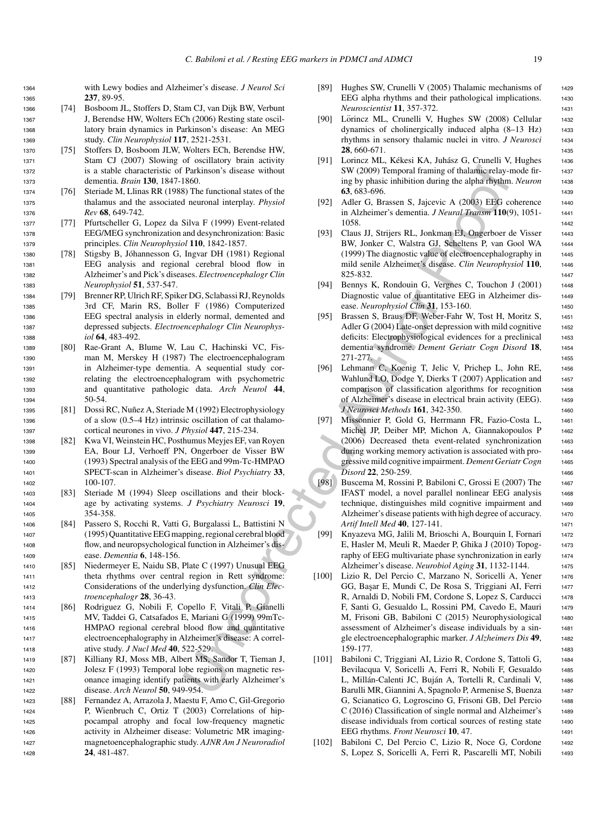<sup>1364</sup> with Lewy bodies and Alzheimer's disease. *J Neurol Sci* <sup>1365</sup> **237**, 89-95.

- <sup>1366</sup> [74] Bosboom JL, Stoffers D, Stam CJ, van Dijk BW, Verbunt <sup>1367</sup> J, Berendse HW, Wolters ECh (2006) Resting state oscil-<sup>1368</sup> latory brain dynamics in Parkinson's disease: An MEG <sup>1369</sup> study. *Clin Neurophysiol* **117**, 2521-2531.
- <sup>1370</sup> [75] Stoffers D, Bosboom JLW, Wolters ECh, Berendse HW, <sup>1371</sup> Stam CJ (2007) Slowing of oscillatory brain activity <sup>1372</sup> is a stable characteristic of Parkinson's disease without <sup>1373</sup> dementia. *Brain* **130**, 1847-1860.
- <sup>1374</sup> [76] Steriade M, Llinas RR (1988) The functional states of the <sup>1375</sup> thalamus and the associated neuronal interplay. *Physiol* <sup>1376</sup> *Rev* **68**, 649-742.
- <sup>1377</sup> [77] Pfurtscheller G, Lopez da Silva F (1999) Event-related <sup>1378</sup> EEG/MEG synchronization and desynchronization: Basic <sup>1379</sup> principles. *Clin Neurophysiol* **110**, 1842-1857.
- <sup>1380</sup> [78] Stigsby B, Johannesson G, Ingvar DH (1981) Regional ´ <sup>1381</sup> EEG analysis and regional cerebral blood flow in <sup>1382</sup> Alzheimer's and Pick's diseases. *Electroencephalogr Clin* <sup>1383</sup> *Neurophysiol* **51**, 537-547.
- <sup>1384</sup> [79] Brenner RP, Ulrich RF, Spiker DG, Sclabassi RJ, Reynolds <sup>1385</sup> 3rd CF, Marin RS, Boller F (1986) Computerized <sup>1386</sup> EEG spectral analysis in elderly normal, demented and <sup>1387</sup> depressed subjects. *Electroencephalogr Clin Neurophys-*<sup>1388</sup> *iol* **64**, 483-492.
- <sup>1389</sup> [80] Rae-Grant A, Blume W, Lau C, Hachinski VC, Fis-<sup>1390</sup> man M, Merskey H (1987) The electroencephalogram <sup>1391</sup> in Alzheimer-type dementia. A sequential study cor-<sup>1392</sup> relating the electroencephalogram with psychometric <sup>1393</sup> and quantitative pathologic data. *Arch Neurol* **44**, <sup>1394</sup> 50-54.
- 1395 [81] Dossi RC, Nuñez A, Steriade M (1992) Electrophysiology <sup>1396</sup> of a slow (0.5–4 Hz) intrinsic oscillation of cat thalamo-<sup>1397</sup> cortical neurones in vivo. *J Physiol* **447**, 215-234.
- <sup>1398</sup> [82] Kwa VI, Weinstein HC, Posthumus Meyjes EF, van Royen <sup>1399</sup> EA, Bour LJ, Verhoeff PN, Ongerboer de Visser BW <sup>1400</sup> (1993) Spectral analysis of the EEG and 99m-Tc-HMPAO <sup>1401</sup> SPECT-scan in Alzheimer's disease. *Biol Psychiatry* **33**, <sup>1402</sup> 100-107.
- <sup>1403</sup> [83] Steriade M (1994) Sleep oscillations and their block-<sup>1404</sup> age by activating systems. *J Psychiatry Neurosci* **19**, <sup>1405</sup> 354-358.
- <sup>1406</sup> [84] Passero S, Rocchi R, Vatti G, Burgalassi L, Battistini N <sup>1407</sup> (1995) Quantitative EEG mapping, regional cerebral blood <sup>1408</sup> flow, and neuropsychological function in Alzheimer's dis-<sup>1409</sup> ease. *Dementia* **6**, 148-156.
- <sup>1410</sup> [85] Niedermeyer E, Naidu SB, Plate C (1997) Unusual EEG <sup>1411</sup> theta rhythms over central region in Rett syndrome: <sup>1412</sup> Considerations of the underlying dysfunction. *Clin Elec-*<sup>1413</sup> *troencephalogr* **28**, 36-43.
- <sup>1414</sup> [86] Rodriguez G, Nobili F, Copello F, Vitali P, Gianelli <sup>1415</sup> MV, Taddei G, Catsafados E, Mariani G (1999) 99mTc-<sup>1416</sup> HMPAO regional cerebral blood flow and quantitative <sup>1417</sup> electroencephalography in Alzheimer's disease: A correl-<sup>1418</sup> ative study. *J Nucl Med* **40**, 522-529.
- <sup>1419</sup> [87] Killiany RJ, Moss MB, Albert MS, Sandor T, Tieman J, <sup>1420</sup> Jolesz F (1993) Temporal lobe regions on magnetic res-<sup>1421</sup> onance imaging identify patients with early Alzheimer's <sup>1422</sup> disease. *Arch Neurol* **50**, 949-954.
- <sup>1423</sup> [88] Fernandez A, Arrazola J, Maestu F, Amo C, Gil-Gregorio <sup>1424</sup> P, Wienbruch C, Ortiz T (2003) Correlations of hip-<sup>1425</sup> pocampal atrophy and focal low-frequency magnetic <sup>1426</sup> activity in Alzheimer disease: Volumetric MR imaging-<sup>1427</sup> magnetoencephalographic study. *AJNR Am J Neuroradiol* <sup>1428</sup> **24**, 481-487.
- [89] Hughes SW, Crunelli V (2005) Thalamic mechanisms of 1429 EEG alpha rhythms and their pathological implications. 1430 *Neuroscientist* **11**, 357-372. <sup>1431</sup>
- [90] Lörincz ML, Crunelli V, Hughes SW (2008) Cellular 1432 dynamics of cholinergically induced alpha (8–13 Hz) <sup>1433</sup> rhythms in sensory thalamic nuclei in vitro. *J Neurosci* <sup>1434</sup> **28**, 660-671. 1435
- [91] Lorincz ML, Kékesi KA, Juhász G, Crunelli V, Hughes 1436 SW (2009) Temporal framing of thalamic relay-mode fir- <sup>1437</sup> ing by phasic inhibition during the alpha rhythm. *Neuron* <sup>1438</sup> **63**, 683-696. 1439
- [92] Adler G, Brassen S, Jajcevic A (2003) EEG coherence <sup>1440</sup> in Alzheimer's dementia. *J Neural Transm* **110**(9), 1051- <sup>1441</sup> 1058. 1442
- [93] Claus JJ, Strijers RL, Jonkman EJ, Ongerboer de Visser 1443 BW, Jonker C, Walstra GJ, Scheltens P, van Gool WA <sup>1444</sup> (1999) The diagnostic value of electroencephalography in <sup>1445</sup> mild senile Alzheimer's disease. *Clin Neurophysiol* **110**, <sup>1446</sup> 825-832. <sup>1447</sup>
- [94] Bennys K, Rondouin G, Vergnes C, Touchon J (2001) <sup>1448</sup> Diagnostic value of quantitative EEG in Alzheimer dis- <sup>1449</sup> ease. *Neurophysiol Clin* **31**, 153-160. 1450
- [95] Brassen S, Braus DF, Weber-Fahr W, Tost H, Moritz S, <sup>1451</sup> Adler G (2004) Late-onset depression with mild cognitive 1452 deficits: Electrophysiological evidences for a preclinical 1453 dementia syndrome. *Dement Geriatr Cogn Disord* **18**, <sup>1454</sup> 271-277. <sup>1455</sup>
- [96] Lehmann C, Koenig T, Jelic V, Prichep L, John RE, 1456 Wahlund LO, Dodge Y, Dierks T (2007) Application and 1457 comparison of classification algorithms for recognition 1458 of Alzheimer's disease in electrical brain activity (EEG). <sup>1459</sup> *J Neurosci Methods* **161**, 342-350. <sup>1460</sup>
- [97] Missonnier P, Gold G, Herrmann FR, Fazio-Costa L, <sup>1461</sup> Michel JP, Deiber MP, Michon A, Giannakopoulos P 1462 (2006) Decreased theta event-related synchronization <sup>1463</sup> during working memory activation is associated with pro-<br>1464 gressive mild cognitive impairment. *Dement Geriatr Cogn* <sup>1465</sup> *Disord* **22**, 250-259. <sup>1466</sup>
- [98] Buscema M, Rossini P, Babiloni C, Grossi E (2007) The <sup>1467</sup> IFAST model, a novel parallel nonlinear EEG analysis <sup>1468</sup> technique, distinguishes mild cognitive impairment and 1469 Alzheimer's disease patients with high degree of accuracy. 1470 *Artif Intell Med* **40**, 127-141. <sup>1471</sup>
- [99] Knyazeva MG, Jalili M, Brioschi A, Bourquin I, Fornari <sup>1472</sup> E, Hasler M, Meuli R, Maeder P, Ghika J (2010) Topog- <sup>1473</sup> raphy of EEG multivariate phase synchronization in early 1474 Alzheimer's disease. *Neurobiol Aging* **31**, 1132-1144. <sup>1475</sup>
- Parkinson's disease without<br>
1860. Sav (2009) Furencell framing of thalming changes and the same in the same in the same in the same in the same in the same in the same in the same in the same in the same in the same in t [100] Lizio R, Del Percio C, Marzano N, Soricelli A, Yener 1476 GG, Başar E, Mundi C, De Rosa S, Triggiani AI, Ferri 1477 R, Arnaldi D, Nobili FM, Cordone S, Lopez S, Carducci 1478 F, Santi G, Gesualdo L, Rossini PM, Cavedo E, Mauri 1479 M, Frisoni GB, Babiloni C (2015) Neurophysiological 1480 assessment of Alzheimer's disease individuals by a sin- <sup>1481</sup> gle electroencephalographic marker. *J Alzheimers Dis* **49**, <sup>1482</sup> 159-177. <sup>1483</sup>
	- [101] Babiloni C, Triggiani AI, Lizio R, Cordone S, Tattoli G, 1484 Bevilacqua V, Soricelli A, Ferri R, Nobili F, Gesualdo <sup>1485</sup> L, Millán-Calenti JC, Buján A, Tortelli R, Cardinali V, 1486 Barulli MR, Giannini A, Spagnolo P, Armenise S, Buenza 1487 G, Scianatico G, Logroscino G, Frisoni GB, Del Percio <sup>1488</sup> C (2016) Classification of single normal and Alzheimer's 1489 disease individuals from cortical sources of resting state 1490 EEG rhythms. *Front Neurosci* **10**, 47. <sup>1491</sup>
	- [102] Babiloni C, Del Percio C, Lizio R, Noce G, Cordone <sup>1492</sup> S, Lopez S, Soricelli A, Ferri R, Pascarelli MT, Nobili <sup>1493</sup>